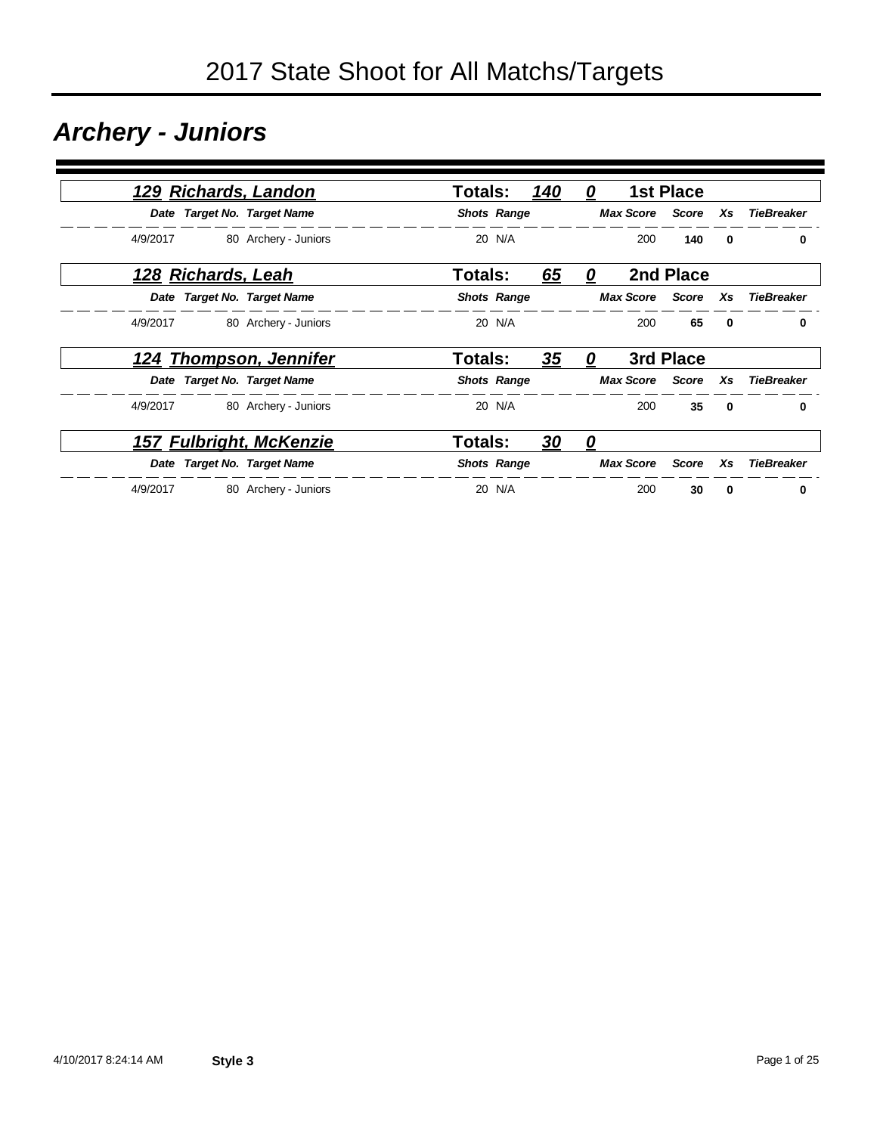### *Archery - Juniors*

|          |                    | 129 Richards, Landon           | <b>Totals:</b> |                    | 140 | 0 |                        | <b>1st Place</b> |              |                   |
|----------|--------------------|--------------------------------|----------------|--------------------|-----|---|------------------------|------------------|--------------|-------------------|
|          |                    | Date Target No. Target Name    |                | <b>Shots Range</b> |     |   | <b>Max Score</b>       | Score            | Xs           | <b>TieBreaker</b> |
| 4/9/2017 |                    | 80 Archery - Juniors           |                | 20 N/A             |     |   | 200                    | 140              | $\mathbf{0}$ | $\bf{0}$          |
|          | 128 Richards, Leah |                                | <b>Totals:</b> |                    | 65  | 0 |                        | 2nd Place        |              |                   |
|          |                    | Date Target No. Target Name    |                | <b>Shots Range</b> |     |   | <b>Max Score</b> Score |                  | Xs           | <b>TieBreaker</b> |
| 4/9/2017 |                    | 80 Archery - Juniors           |                | 20 N/A             |     |   | 200                    | 65               | $\bf{0}$     | 0                 |
|          |                    | <u>124 Thompson, Jennifer</u>  | <b>Totals:</b> |                    | 35  | 0 |                        | 3rd Place        |              |                   |
|          |                    | Date Target No. Target Name    |                | <b>Shots Range</b> |     |   | <b>Max Score</b>       | Score            | Xs           | <b>TieBreaker</b> |
| 4/9/2017 |                    | 80 Archery - Juniors           |                | 20 N/A             |     |   | 200                    | 35               | $\mathbf{0}$ | 0                 |
|          |                    | <b>157 Fulbright, McKenzie</b> | <b>Totals:</b> |                    | 30  | 0 |                        |                  |              |                   |
|          |                    | Date Target No. Target Name    |                | <b>Shots Range</b> |     |   | <b>Max Score</b>       | Score            | Xs           | <b>TieBreaker</b> |
| 4/9/2017 |                    | 80 Archery - Juniors           |                | 20 N/A             |     |   | 200                    | 30               | 0            | 0                 |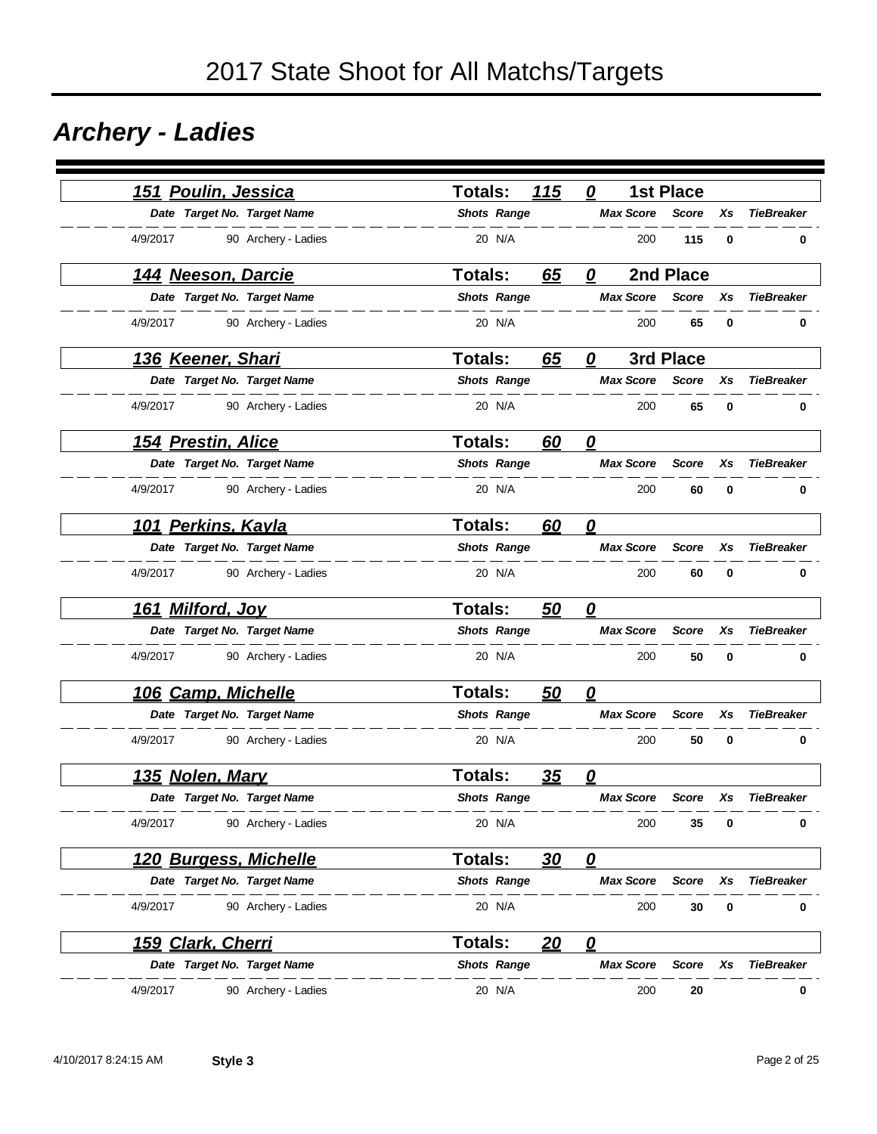### *Archery - Ladies*

| Poulin, Jessica<br>151        |                     | Totals:            | 115       | 0                                 | <b>1st Place</b> |    |                   |
|-------------------------------|---------------------|--------------------|-----------|-----------------------------------|------------------|----|-------------------|
| Date Target No. Target Name   |                     | <b>Shots Range</b> |           | <b>Max Score</b>                  | <b>Score</b>     | Xs | <b>TieBreaker</b> |
| 4/9/2017                      | 90 Archery - Ladies | 20 N/A             |           | 200                               | 115              | 0  | 0                 |
| <u> 144 Neeson, Darcie</u>    |                     | <b>Totals:</b>     | 65        | 0                                 | 2nd Place        |    |                   |
| Date Target No. Target Name   |                     | <b>Shots Range</b> |           | <b>Max Score</b>                  | <b>Score</b>     | Xs | <b>TieBreaker</b> |
| 4/9/2017                      | 90 Archery - Ladies | 20 N/A             |           | 200                               | 65               | 0  | 0                 |
| <u>136 Keener, Shari</u>      |                     | <b>Totals:</b>     | 65        | 0                                 | 3rd Place        |    |                   |
| Date Target No. Target Name   |                     | <b>Shots Range</b> |           | <b>Max Score</b>                  | Score            | Xs | <b>TieBreaker</b> |
| 4/9/2017                      | 90 Archery - Ladies | 20 N/A             |           | 200                               | 65               | 0  | 0                 |
| <u>154 Prestin, Alice</u>     |                     | <b>Totals:</b>     | 60        | $\boldsymbol{\varrho}$            |                  |    |                   |
| Date Target No. Target Name   |                     | <b>Shots Range</b> |           | <b>Max Score</b>                  | <b>Score</b>     | Xs | <b>TieBreaker</b> |
| 4/9/2017                      | 90 Archery - Ladies | 20 N/A             |           | 200                               | 60               | 0  | 0                 |
| 101 Perkins, Kayla            |                     | <b>Totals:</b>     | 60        | 0                                 |                  |    |                   |
| Date Target No. Target Name   |                     | <b>Shots Range</b> |           | <b>Max Score</b>                  | <b>Score</b>     | Xs | <b>TieBreaker</b> |
| 4/9/2017                      | 90 Archery - Ladies | 20 N/A             |           | 200                               | 60               | 0  | 0                 |
| 161 Milford, Joy              |                     | <b>Totals:</b>     | <u>50</u> | $\overline{\mathbf{0}}$           |                  |    |                   |
| Date Target No. Target Name   |                     | <b>Shots Range</b> |           | <b>Max Score</b>                  | <b>Score</b>     | Xs | <b>TieBreaker</b> |
| 4/9/2017                      | 90 Archery - Ladies | 20 N/A             |           | 200                               | 50               | 0  | 0                 |
| 106 Camp, Michelle            |                     | <b>Totals:</b>     | 50        | $\overline{\mathbf{0}}$           |                  |    |                   |
| Date Target No. Target Name   |                     | <b>Shots Range</b> |           | <b>Max Score</b>                  | <b>Score</b>     | Xs | <b>TieBreaker</b> |
| 4/9/2017                      | 90 Archery - Ladies | 20 N/A             |           | 200                               | 50               | 0  | 0                 |
| 135 Nolen, Mary               |                     | <b>Totals:</b>     | 35        | 0                                 |                  |    |                   |
| Date Target No. Target Name   |                     | <b>Shots Range</b> |           | <b>Max Score</b>                  | <b>Score</b>     | Xs | <b>TieBreaker</b> |
| 4/9/2017                      | 90 Archery - Ladies | 20 N/A             |           | 200                               | 35               | 0  | 0                 |
| <u> 120 Burgess, Michelle</u> |                     | Totals:            | 30        | $\mathbf{\Omega}$                 |                  |    |                   |
| Date Target No. Target Name   |                     | <b>Shots Range</b> |           | <b>Max Score</b>                  | <b>Score</b>     | Xs | <b>TieBreaker</b> |
| 4/9/2017                      | 90 Archery - Ladies | 20 N/A             |           | 200                               | 30               | 0  | 0                 |
| 159 Clark, Cherri             |                     | <b>Totals:</b>     | 20        | $\overline{\boldsymbol{\varrho}}$ |                  |    |                   |
| Date Target No. Target Name   |                     | <b>Shots Range</b> |           | <b>Max Score</b>                  | <b>Score</b>     | Xs | <b>TieBreaker</b> |
| 4/9/2017                      | 90 Archery - Ladies | 20 N/A             |           | 200                               | 20               |    | 0                 |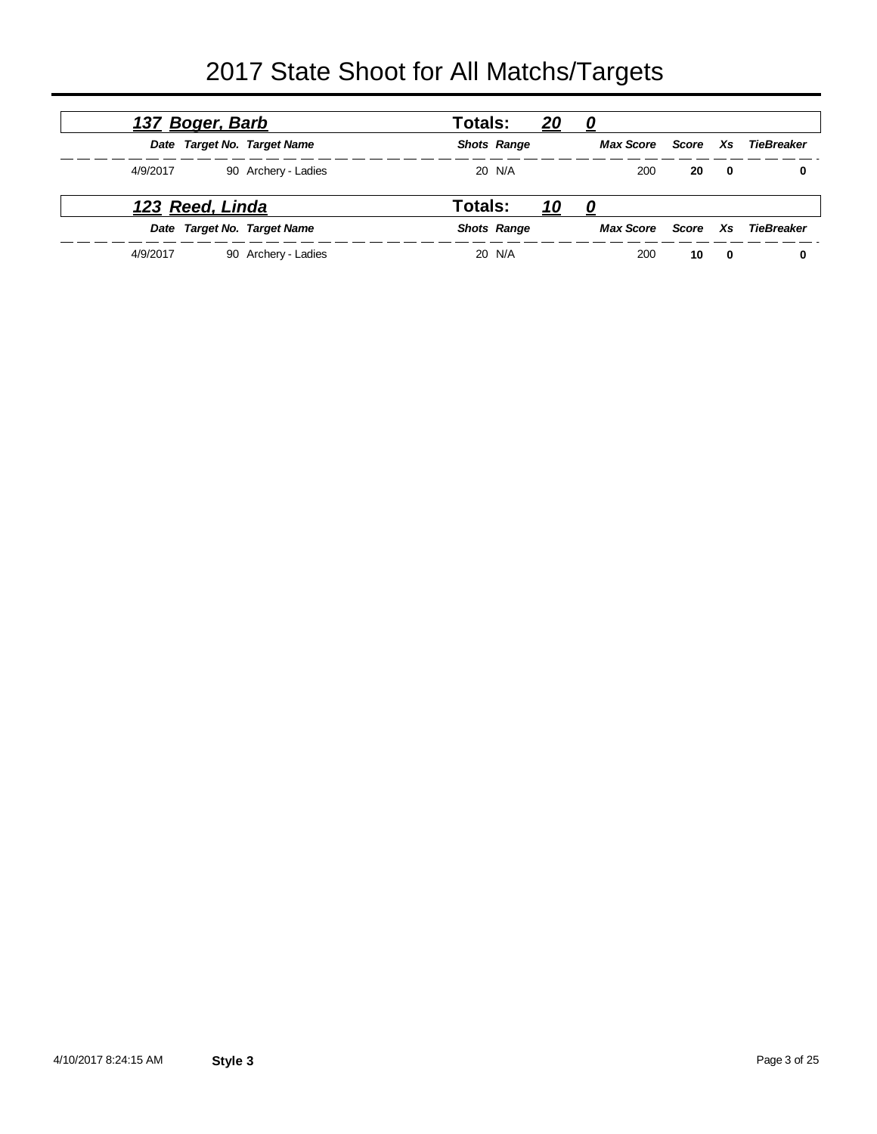|          | 137 Boger, Barb |                             | <b>Totals:</b> |                    | <u>20</u>  | 0                |       |    |            |
|----------|-----------------|-----------------------------|----------------|--------------------|------------|------------------|-------|----|------------|
|          |                 | Date Target No. Target Name |                | <b>Shots Range</b> |            | <b>Max Score</b> | Score | Xs | TieBreaker |
| 4/9/2017 |                 | 90 Archery - Ladies         |                | 20 N/A             |            | 200              | 20    | 0  | 0          |
|          | 123 Reed, Linda |                             | Totals:        |                    | <u> 10</u> | 0                |       |    |            |
|          |                 | Date Target No. Target Name |                | <b>Shots Range</b> |            | <b>Max Score</b> | Score | Xs | TieBreaker |
| 4/9/2017 |                 | 90 Archery - Ladies         |                | 20 N/A             |            | 200              | 10    | 0  | 0          |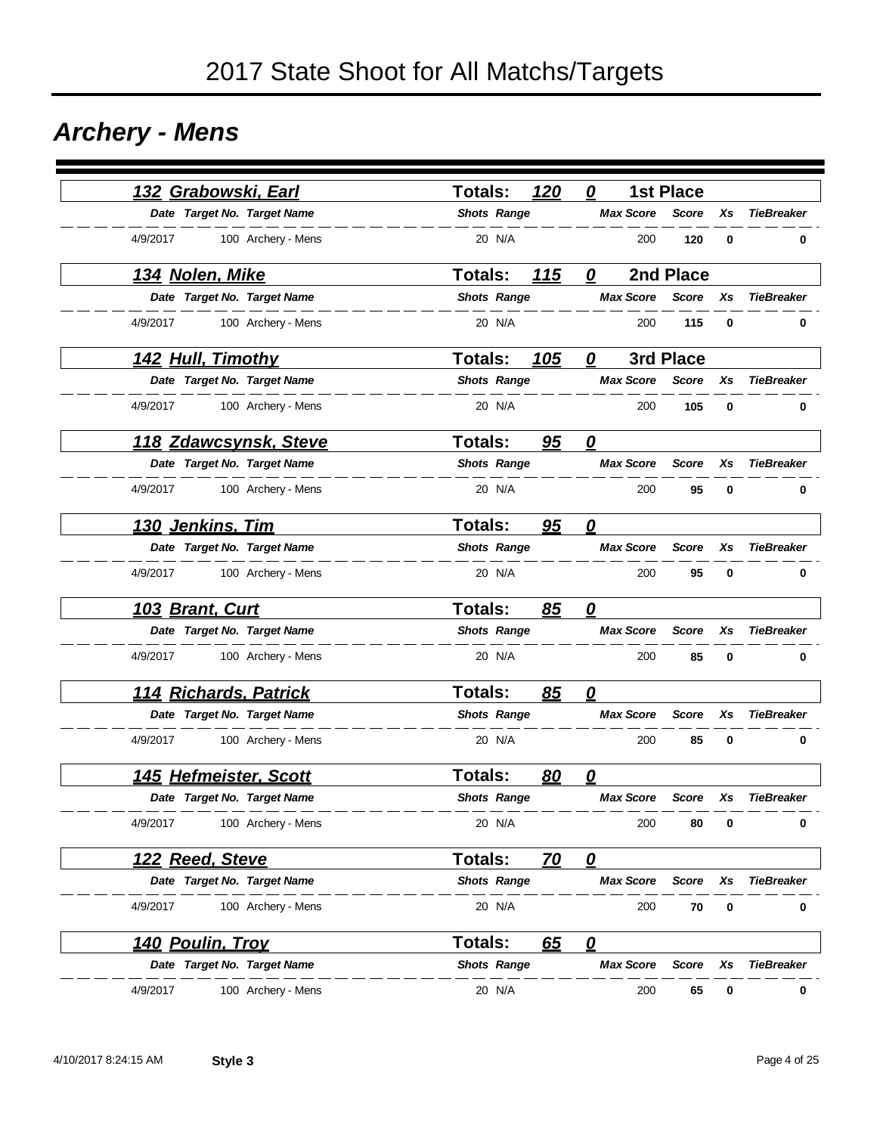### *Archery - Mens*

|                         | 132 Grabowski, Earl          | <b>Totals:</b>     | 120         | 0                       | <b>1st Place</b> |    |                   |
|-------------------------|------------------------------|--------------------|-------------|-------------------------|------------------|----|-------------------|
|                         | Date Target No. Target Name  | <b>Shots Range</b> |             | <b>Max Score</b>        | <b>Score</b>     | Хs | <b>TieBreaker</b> |
| 4/9/2017                | 100 Archery - Mens           | 20 N/A             |             | 200                     | 120              | 0  | 0                 |
| <u>134 Nolen, Mike</u>  |                              | Totals:            | 115         | 0                       | 2nd Place        |    |                   |
|                         | Date Target No. Target Name  | <b>Shots Range</b> |             | <b>Max Score</b>        | <b>Score</b>     | Хs | <b>TieBreaker</b> |
| 4/9/2017                | 100 Archery - Mens           | 20 N/A             |             | 200                     | 115              | 0  | 0                 |
|                         | <u>142 Hull, Timothy</u>     | <b>Totals:</b>     | <u> 105</u> | 0                       | 3rd Place        |    |                   |
|                         | Date Target No. Target Name  | <b>Shots Range</b> |             | <b>Max Score</b>        | <b>Score</b>     | Xs | <b>TieBreaker</b> |
| 4/9/2017                | 100 Archery - Mens           | 20 N/A             |             | 200                     | 105              | 0  | 0                 |
|                         | <u>118 Zdawcsynsk, Steve</u> | <b>Totals:</b>     | 95          | $\overline{\mathbf{0}}$ |                  |    |                   |
|                         | Date Target No. Target Name  | <b>Shots Range</b> |             | <b>Max Score</b>        | <b>Score</b>     | Xs | <b>TieBreaker</b> |
| 4/9/2017                | 100 Archery - Mens           | 20 N/A             |             | 200                     | 95               | 0  | 0                 |
| 130 Jenkins, Tim        |                              | <b>Totals:</b>     | 95          | 0                       |                  |    |                   |
|                         | Date Target No. Target Name  | <b>Shots Range</b> |             | <b>Max Score</b>        | <b>Score</b>     | Xs | <b>TieBreaker</b> |
| 4/9/2017                | 100 Archery - Mens           | 20 N/A             |             | 200                     | 95               | 0  | 0                 |
| 103 Brant, Curt         |                              | <b>Totals:</b>     | 85          | 0                       |                  |    |                   |
|                         | Date Target No. Target Name  | <b>Shots Range</b> |             | <b>Max Score</b>        | <b>Score</b>     | Xs | <b>TieBreaker</b> |
| 4/9/2017                | 100 Archery - Mens           | 20 N/A             |             | 200                     | 85               | 0  | 0                 |
|                         | 114 Richards, Patrick        | <b>Totals:</b>     | 85          | 0                       |                  |    |                   |
|                         | Date Target No. Target Name  | <b>Shots Range</b> |             | <b>Max Score</b>        | <b>Score</b>     | Xs | <b>TieBreaker</b> |
| 4/9/2017                | 100 Archery - Mens           | 20 N/A             |             | 200                     | 85               | 0  | 0                 |
|                         | 145 Hefmeister, Scott        | <b>Totals:</b>     | 80          | 0                       |                  |    |                   |
|                         | Date Target No. Target Name  | <b>Shots Range</b> |             | <b>Max Score</b>        | <b>Score</b>     | Xs | <b>TieBreaker</b> |
| 4/9/2017                | 100 Archery - Mens           | 20 N/A             |             | 200                     | 80               | 0  | 0                 |
| <u>122 Reed, Steve</u>  |                              | Totals:            | <u>70</u>   | $\overline{\mathbf{0}}$ |                  |    |                   |
|                         | Date Target No. Target Name  | <b>Shots Range</b> |             | <b>Max Score</b>        | <b>Score</b>     | Xs | <b>TieBreaker</b> |
| 4/9/2017                | 100 Archery - Mens           | 20 N/A             |             | 200                     | 70               | 0  | 0                 |
| <u>140 Poulin, Troy</u> |                              | Totals:            | 65          | <u>0</u>                |                  |    |                   |
|                         | Date Target No. Target Name  | <b>Shots Range</b> |             | <b>Max Score</b>        | Score            | Xs | <b>TieBreaker</b> |
| 4/9/2017                | 100 Archery - Mens           | 20 N/A             |             | 200                     | 65               | 0  | 0                 |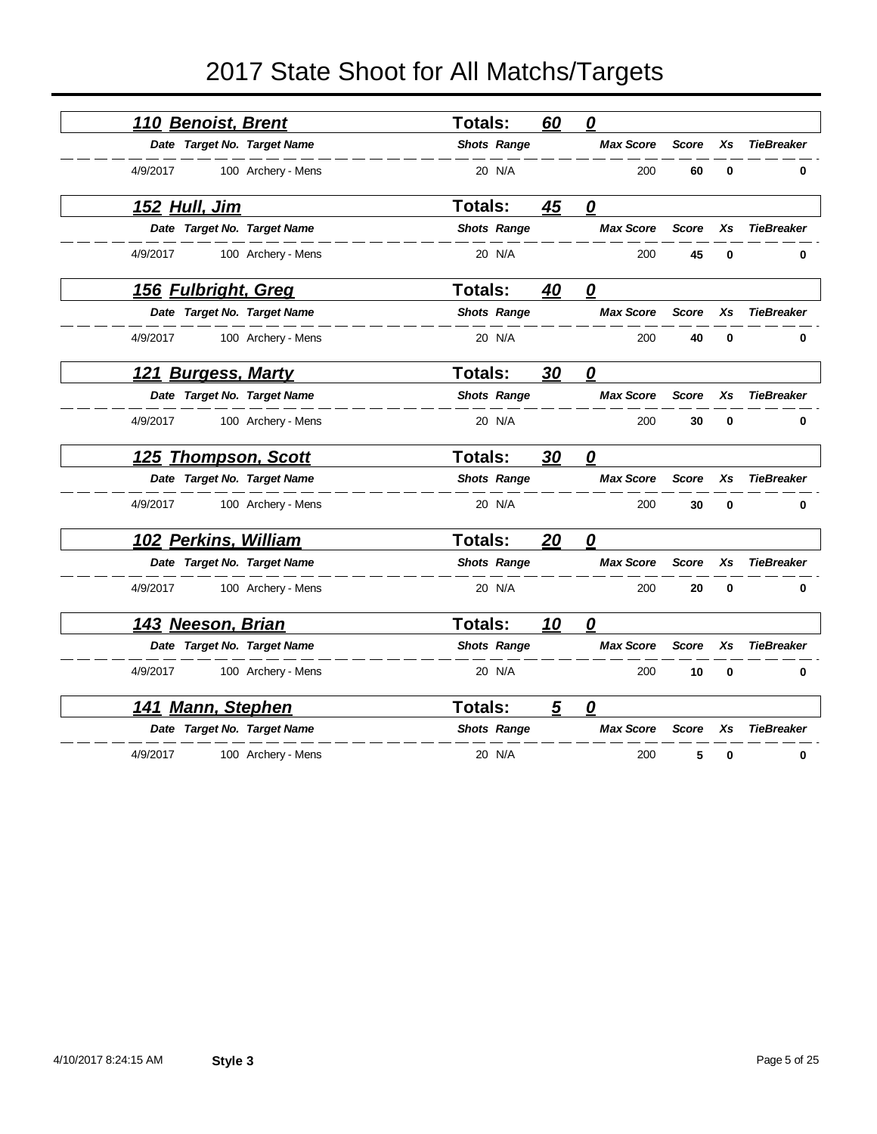| <u>110 Benoist, Brent</u>   | Totals:        | 60 | 0                                                                                                                                                                            |              |             |                   |
|-----------------------------|----------------|----|------------------------------------------------------------------------------------------------------------------------------------------------------------------------------|--------------|-------------|-------------------|
| Date Target No. Target Name |                |    | <b>Max Score</b>                                                                                                                                                             | <b>Score</b> | Xs          | <b>TieBreaker</b> |
| 100 Archery - Mens          | 20 N/A         |    | 200                                                                                                                                                                          | 60           | $\mathbf 0$ | 0                 |
|                             | Totals:        | 45 | 0                                                                                                                                                                            |              |             |                   |
| Date Target No. Target Name |                |    | <b>Max Score</b>                                                                                                                                                             | <b>Score</b> | Xs          | <b>TieBreaker</b> |
| 100 Archery - Mens          | 20 N/A         |    | 200                                                                                                                                                                          | 45           | 0           | 0                 |
| 156 Fulbright, Greg         | <b>Totals:</b> | 40 | 0                                                                                                                                                                            |              |             |                   |
| Date Target No. Target Name |                |    | <b>Max Score</b>                                                                                                                                                             | <b>Score</b> | Xs          | <b>TieBreaker</b> |
| 100 Archery - Mens          | 20 N/A         |    | 200                                                                                                                                                                          | 40           | $\mathbf 0$ | 0                 |
| 121 Burgess, Marty          | <b>Totals:</b> | 30 | 0                                                                                                                                                                            |              |             |                   |
| Date Target No. Target Name |                |    | <b>Max Score</b>                                                                                                                                                             | <b>Score</b> | Xs          | <b>TieBreaker</b> |
| 100 Archery - Mens          | 20 N/A         |    | 200                                                                                                                                                                          | 30           | $\bf{0}$    | 0                 |
| <u>Thompson, Scott</u>      | <b>Totals:</b> | 30 | <u>0</u>                                                                                                                                                                     |              |             |                   |
| Date Target No. Target Name |                |    | <b>Max Score</b>                                                                                                                                                             | <b>Score</b> | Xs          | <b>TieBreaker</b> |
| 100 Archery - Mens          | 20 N/A         |    | 200                                                                                                                                                                          | 30           | $\bf{0}$    | 0                 |
| 102 Perkins, William        | <b>Totals:</b> | 20 | 0                                                                                                                                                                            |              |             |                   |
| Date Target No. Target Name |                |    | <b>Max Score</b>                                                                                                                                                             | <b>Score</b> | Xs          | <b>TieBreaker</b> |
| 100 Archery - Mens          | 20 N/A         |    | 200                                                                                                                                                                          | 20           | $\mathbf 0$ | 0                 |
| 143 Neeson, Brian           | <b>Totals:</b> | 10 | $\overline{\mathbf{0}}$                                                                                                                                                      |              |             |                   |
| Date Target No. Target Name |                |    | <b>Max Score</b>                                                                                                                                                             | <b>Score</b> | Xs          | <b>TieBreaker</b> |
| 100 Archery - Mens          | 20 N/A         |    | 200                                                                                                                                                                          | 10           | $\mathbf 0$ | 0                 |
| <u>141 Mann, Stephen</u>    | Totals:        | 5  | 0                                                                                                                                                                            |              |             |                   |
| Date Target No. Target Name |                |    | <b>Max Score</b>                                                                                                                                                             | <b>Score</b> | Xs          | <b>TieBreaker</b> |
| 100 Archery - Mens          | 20 N/A         |    | 200                                                                                                                                                                          | 5            | 0           | 0                 |
|                             |                |    | <b>Shots Range</b><br><b>Shots Range</b><br><b>Shots Range</b><br><b>Shots Range</b><br><b>Shots Range</b><br><b>Shots Range</b><br><b>Shots Range</b><br><b>Shots Range</b> |              |             |                   |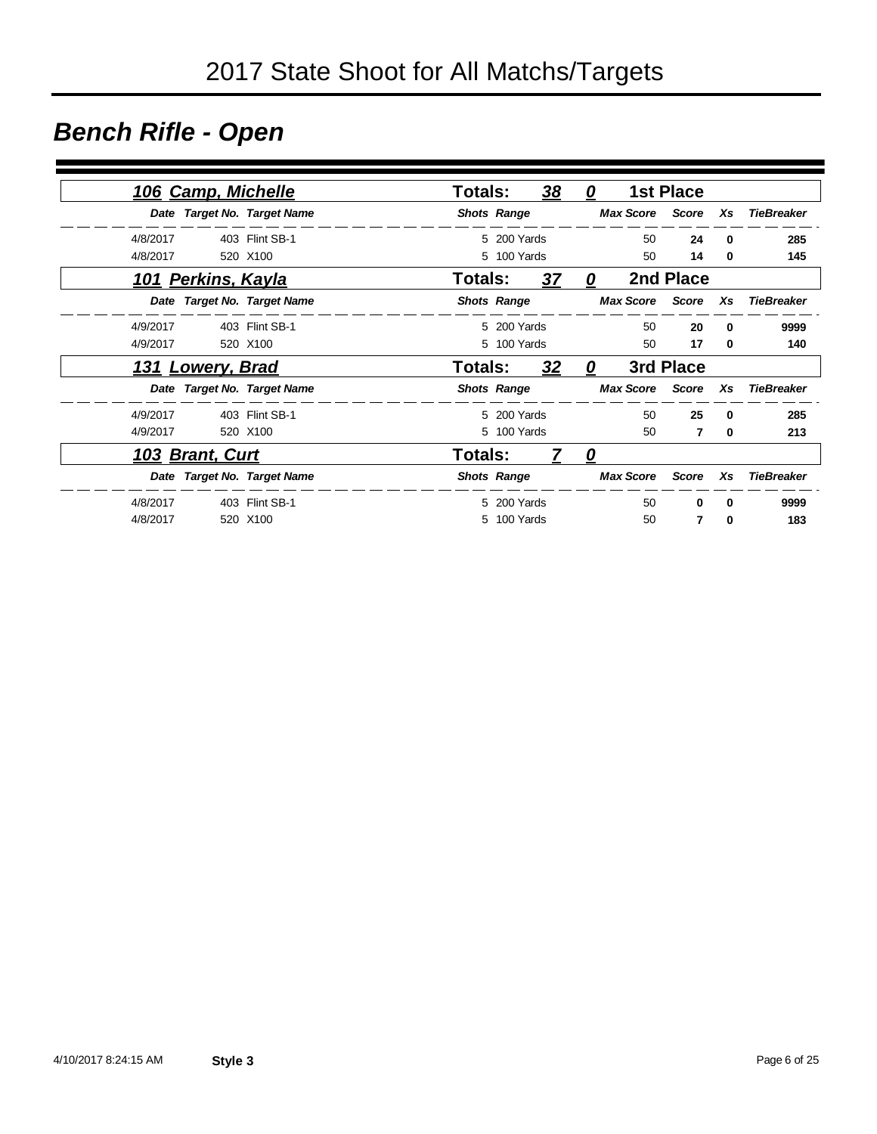### *Bench Rifle - Open*

|                   |              | <b>1st Place</b> |                        | 0                 | 38 |                    | <b>Totals:</b> |                             | 106 Camp, Michelle        |          |
|-------------------|--------------|------------------|------------------------|-------------------|----|--------------------|----------------|-----------------------------|---------------------------|----------|
| <b>TieBreaker</b> | Xs           |                  | <b>Max Score</b> Score |                   |    | <b>Shots Range</b> |                | Date Target No. Target Name |                           |          |
| 285               | $\bf{0}$     | 24               | 50                     |                   |    | 5 200 Yards        |                | 403 Flint SB-1              |                           | 4/8/2017 |
| 145               | 0            | 14               | 50                     |                   |    | 5 100 Yards        |                | 520 X100                    |                           | 4/8/2017 |
|                   |              | 2nd Place        |                        | 0                 | 37 |                    | <b>Totals:</b> |                             | <u>101 Perkins, Kayla</u> |          |
| TieBreaker        | Xs           |                  | <b>Max Score</b> Score |                   |    | <b>Shots Range</b> |                | Date Target No. Target Name |                           |          |
| 9999              | $\bf{0}$     | 20               | 50                     |                   |    | 5 200 Yards        |                | 403 Flint SB-1              |                           | 4/9/2017 |
| 140               | 0            | 17               | 50                     |                   |    | 5 100 Yards        |                | 520 X100                    |                           | 4/9/2017 |
|                   |              | 3rd Place        |                        | 0                 | 32 |                    | Totals:        |                             | 131 Lowery, Brad          |          |
| TieBreaker        | Xs           |                  | <b>Max Score</b> Score |                   |    | <b>Shots Range</b> |                | Date Target No. Target Name |                           |          |
| 285               | $\bf{0}$     | 25               | 50                     |                   |    | 5 200 Yards        |                | 403 Flint SB-1              |                           | 4/9/2017 |
| 213               | $\bf{0}$     | 7                | 50                     |                   |    | 5 100 Yards        |                | 520 X100                    |                           | 4/9/2017 |
|                   |              |                  |                        | $\mathbf{\Omega}$ | 7  |                    | Totals:        |                             | 103 Brant, Curt           |          |
| <b>TieBreaker</b> | Xs           | Score            | <b>Max Score</b>       |                   |    | <b>Shots Range</b> |                | Date Target No. Target Name |                           |          |
| 9999              | <sup>0</sup> | 0                | 50                     |                   |    | 5 200 Yards        |                | 403 Flint SB-1              |                           | 4/8/2017 |
| 183               | 0            | 7                | 50                     |                   |    | 5 100 Yards        |                | 520 X100                    |                           | 4/8/2017 |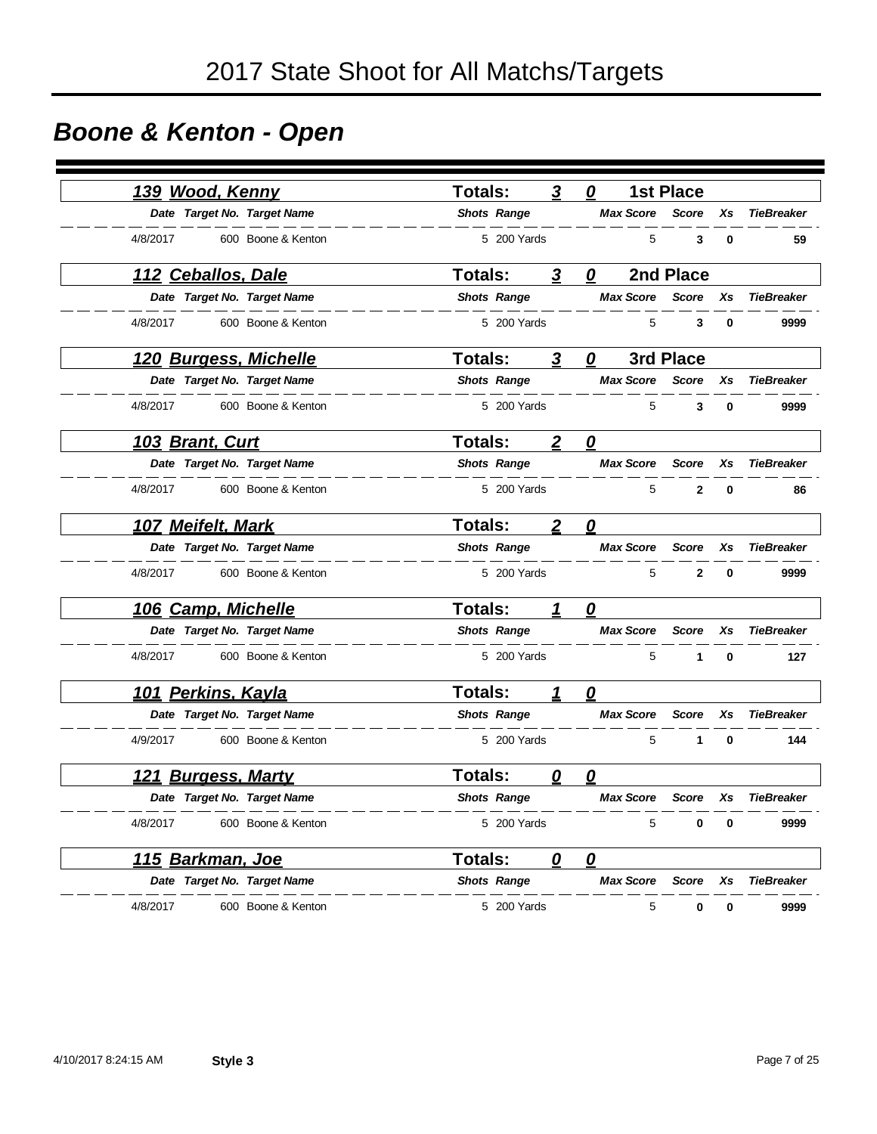# *Boone & Kenton - Open*

| <u>139 Wood, Kenny</u>       |                    | Totals:            | 3                      | 0                       | <b>1st Place</b> |    |                   |
|------------------------------|--------------------|--------------------|------------------------|-------------------------|------------------|----|-------------------|
| Date Target No. Target Name  |                    | <b>Shots Range</b> |                        | <b>Max Score</b>        | <b>Score</b>     | Xs | <b>TieBreaker</b> |
| 4/8/2017                     | 600 Boone & Kenton | 5 200 Yards        |                        | 5                       | 3                | 0  | 59                |
| <u> 112 Ceballos, Dale</u>   |                    | <b>Totals:</b>     | 3                      | 0                       | 2nd Place        |    |                   |
| Date Target No. Target Name  |                    | <b>Shots Range</b> |                        | <b>Max Score</b>        | <b>Score</b>     | Xs | <b>TieBreaker</b> |
| 4/8/2017                     | 600 Boone & Kenton | 5 200 Yards        |                        | 5                       | 3                | 0  | 9999              |
| 120 Burgess, Michelle        |                    | <b>Totals:</b>     | 3                      | 0                       | 3rd Place        |    |                   |
| Date Target No. Target Name  |                    | <b>Shots Range</b> |                        | <b>Max Score</b>        | <b>Score</b>     | Xs | <b>TieBreaker</b> |
| 4/8/2017                     | 600 Boone & Kenton | 5 200 Yards        |                        | 5                       | 3                | 0  | 9999              |
| <u>103 Brant, Curt</u>       |                    | <b>Totals:</b>     | $\boldsymbol{2}$       | $\overline{\mathbf{0}}$ |                  |    |                   |
| Date Target No. Target Name  |                    | <b>Shots Range</b> |                        | <b>Max Score</b>        | <b>Score</b>     | Xs | <b>TieBreaker</b> |
| 4/8/2017                     | 600 Boone & Kenton | 5 200 Yards        |                        | 5                       | $\mathbf{2}$     | 0  | 86                |
| 107 Meifelt, Mark            |                    | <b>Totals:</b>     | $\boldsymbol{2}$       | 0                       |                  |    |                   |
| Date Target No. Target Name  |                    | <b>Shots Range</b> |                        | <b>Max Score</b>        | <b>Score</b>     | Xs | <b>TieBreaker</b> |
| 4/8/2017                     | 600 Boone & Kenton | 5 200 Yards        |                        | 5                       | $\mathbf{2}$     | 0  | 9999              |
| 106 Camp, Michelle           |                    | <b>Totals:</b>     | 1                      | 0                       |                  |    |                   |
| Date Target No. Target Name  |                    | <b>Shots Range</b> |                        | <b>Max Score</b>        | <b>Score</b>     | Xs | <b>TieBreaker</b> |
| 4/8/2017                     | 600 Boone & Kenton | 5 200 Yards        |                        | 5                       | 1                | 0  | 127               |
| <u>101 Perkins, Kayla</u>    |                    | Totals:            |                        | 0                       |                  |    |                   |
| Date Target No. Target Name  |                    | <b>Shots Range</b> |                        | <b>Max Score</b>        | <b>Score</b>     | Xs | <b>TieBreaker</b> |
| 4/9/2017                     | 600 Boone & Kenton | 5 200 Yards        |                        | 5                       | 1                | 0  | 144               |
| <b>Burgess, Marty</b><br>121 |                    | <b>Totals:</b>     | 0                      | 0                       |                  |    |                   |
| Date Target No. Target Name  |                    | <b>Shots Range</b> |                        | <b>Max Score</b>        | Score            | Xs | <b>TieBreaker</b> |
| 4/8/2017                     | 600 Boone & Kenton | 5 200 Yards        |                        | 5                       | 0                | 0  | 9999              |
| 115 Barkman, Joe             |                    | Totals:            | $\boldsymbol{\varrho}$ | $\mathbf{\Omega}$       |                  |    |                   |
| Date Target No. Target Name  |                    | <b>Shots Range</b> |                        | <b>Max Score</b>        | <b>Score</b>     | Xs | <b>TieBreaker</b> |
| 4/8/2017                     | 600 Boone & Kenton | 5 200 Yards        |                        | 5                       | 0                | 0  | 9999              |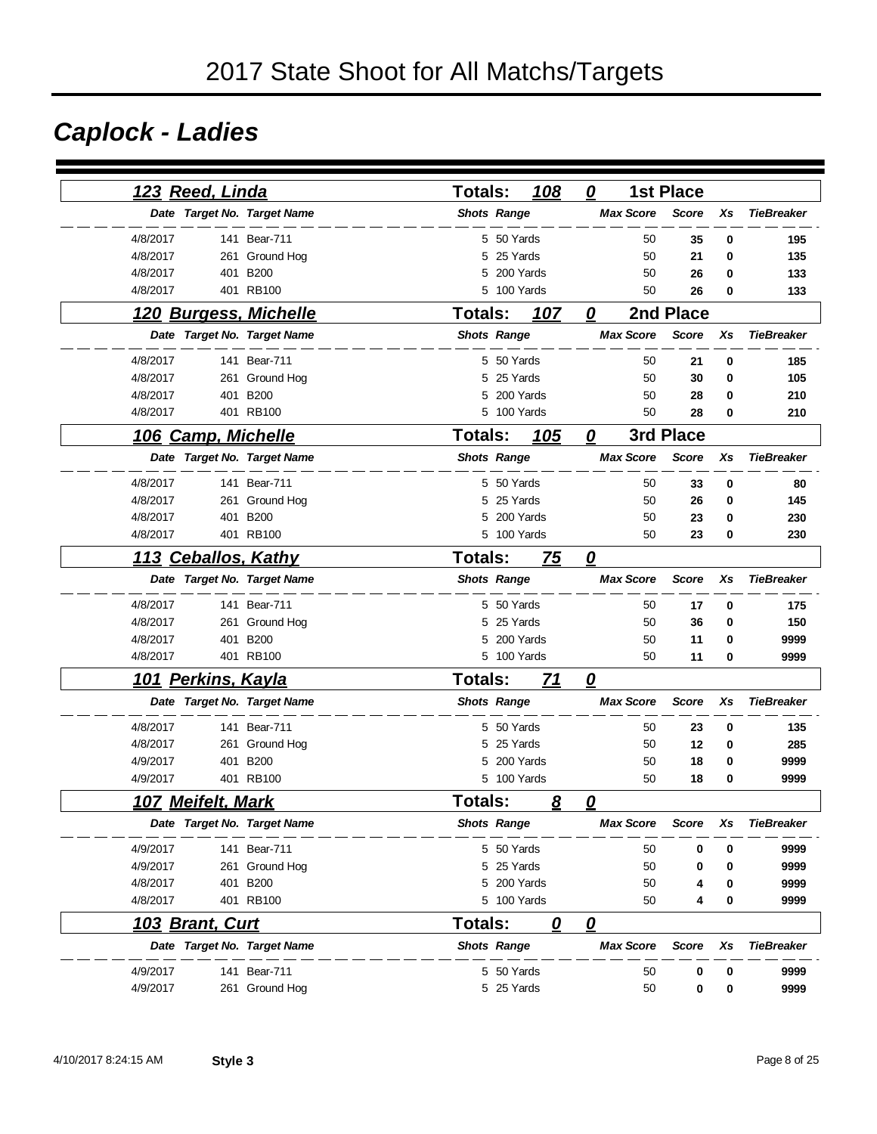## *Caplock - Ladies*

| 123 Reed, Linda                      | 108<br>Totals:              | 0<br><b>1st Place</b>   |                    |                   |
|--------------------------------------|-----------------------------|-------------------------|--------------------|-------------------|
| Date Target No. Target Name          | <b>Shots Range</b>          | <b>Max Score</b>        | <b>Score</b><br>Xs | <b>TieBreaker</b> |
| 4/8/2017<br>141 Bear-711             | 5 50 Yards                  | 50                      | 35<br>0            | 195               |
| 4/8/2017<br>261<br>Ground Hog        | 25 Yards<br>5               | 50                      | 21<br>0            | 135               |
| <b>B200</b><br>4/8/2017<br>401       | 200 Yards<br>5              | 50                      | 26<br>0            | 133               |
| 401 RB100<br>4/8/2017                | 100 Yards<br>5              | 50                      | 26<br>0            | 133               |
| 120 Burgess, Michelle                | 107<br>Totals:              | 0                       | 2nd Place          |                   |
| Date Target No. Target Name          | <b>Shots Range</b>          | <b>Max Score</b>        | <b>Score</b><br>Xs | <b>TieBreaker</b> |
| 4/8/2017<br>141 Bear-711             | 5 50 Yards                  | 50                      | 21<br>0            | 185               |
| 4/8/2017<br>261 Ground Hog           | 25 Yards<br>5               | 50                      | 30<br>0            | 105               |
| 401 B200<br>4/8/2017                 | 200 Yards<br>5              | 50                      | 0<br>28            | 210               |
| 4/8/2017<br>401 RB100                | 5<br>100 Yards              | 50                      | 0<br>28            | 210               |
| 106 Camp, Michelle                   | <b>Totals:</b><br>105       | 0                       | 3rd Place          |                   |
| Date Target No. Target Name          | <b>Shots Range</b>          | <b>Max Score</b>        | <b>Score</b><br>Xs | <b>TieBreaker</b> |
| 4/8/2017<br>141 Bear-711             | 5 50 Yards                  | 50                      | 33<br>0            | 80                |
| 4/8/2017<br>261 Ground Hog           | 25 Yards<br>5               | 50                      | 26<br>0            | 145               |
| 4/8/2017<br>401<br><b>B200</b>       | 200 Yards<br>5              | 50                      | 23<br>0            | 230               |
| 4/8/2017<br>401 RB100                | 5 100 Yards                 | 50                      | 23<br>0            | 230               |
| 113 Ceballos, Kathy                  | <b>Totals:</b><br>75        | $\overline{\mathbf{0}}$ |                    |                   |
| Date Target No. Target Name          | <b>Shots Range</b>          | <b>Max Score</b>        | <b>Score</b><br>Xs | <b>TieBreaker</b> |
| 4/8/2017<br>141 Bear-711             | 5 50 Yards                  | 50                      | 17<br>0            | 175               |
| 4/8/2017<br>261 Ground Hog           | 5 25 Yards                  | 50                      | 36<br>0            | 150               |
| 4/8/2017<br>401 B200                 | 200 Yards<br>5              | 50                      | 11<br>0            | 9999              |
| 4/8/2017<br>401 RB100                | 5 100 Yards                 | 50                      | 11<br>0            | 9999              |
| <b>Perkins, Kayla</b><br><u> 101</u> | <b>Totals:</b><br><u>71</u> | $\mathbf{\Omega}$       |                    |                   |
| Date Target No. Target Name          | <b>Shots Range</b>          | <b>Max Score</b>        | <b>Score</b><br>Xs | <b>TieBreaker</b> |
| 4/8/2017<br>141 Bear-711             | 5 50 Yards                  | 50                      | 23<br>0            | 135               |
| 4/8/2017<br>261<br>Ground Hog        | 25 Yards<br>5               | 50                      | 12<br>0            | 285               |
| 4/9/2017<br><b>B200</b><br>401       | 200 Yards<br>5              | 50                      | 18<br>0            | 9999              |
| 4/9/2017<br>401 RB100                | 5 100 Yards                 | 50                      | 18<br>0            | 9999              |
| <u>107 Meifelt, Mark</u>             | Totals:<br>8                | 0                       |                    |                   |
| Date Target No. Target Name          | <b>Shots Range</b>          | <b>Max Score</b>        | <b>Score</b><br>Xs | <b>TieBreaker</b> |
| 4/9/2017<br>141 Bear-711             | 5 50 Yards                  | 50                      | 0<br>0             | 9999              |
| 4/9/2017<br>261 Ground Hog           | 5<br>25 Yards               | 50                      | 0<br>0             | 9999              |
| <b>B200</b><br>4/8/2017<br>401       | 5 200 Yards                 | 50                      | 0<br>4             | 9999              |
| 401 RB100<br>4/8/2017                | 5 100 Yards                 | 50                      | 0<br>4             | 9999              |
| 103 Brant, Curt                      | <b>Totals:</b><br>0         | $\overline{\mathbf{0}}$ |                    |                   |
| Date Target No. Target Name          | <b>Shots Range</b>          | <b>Max Score</b>        | Score<br>Xs        | <b>TieBreaker</b> |
| 141 Bear-711<br>4/9/2017             | 5 50 Yards                  | 50                      | 0<br>0             | 9999              |
| 4/9/2017<br>261 Ground Hog           | 5 25 Yards                  | 50                      | 0<br>0             | 9999              |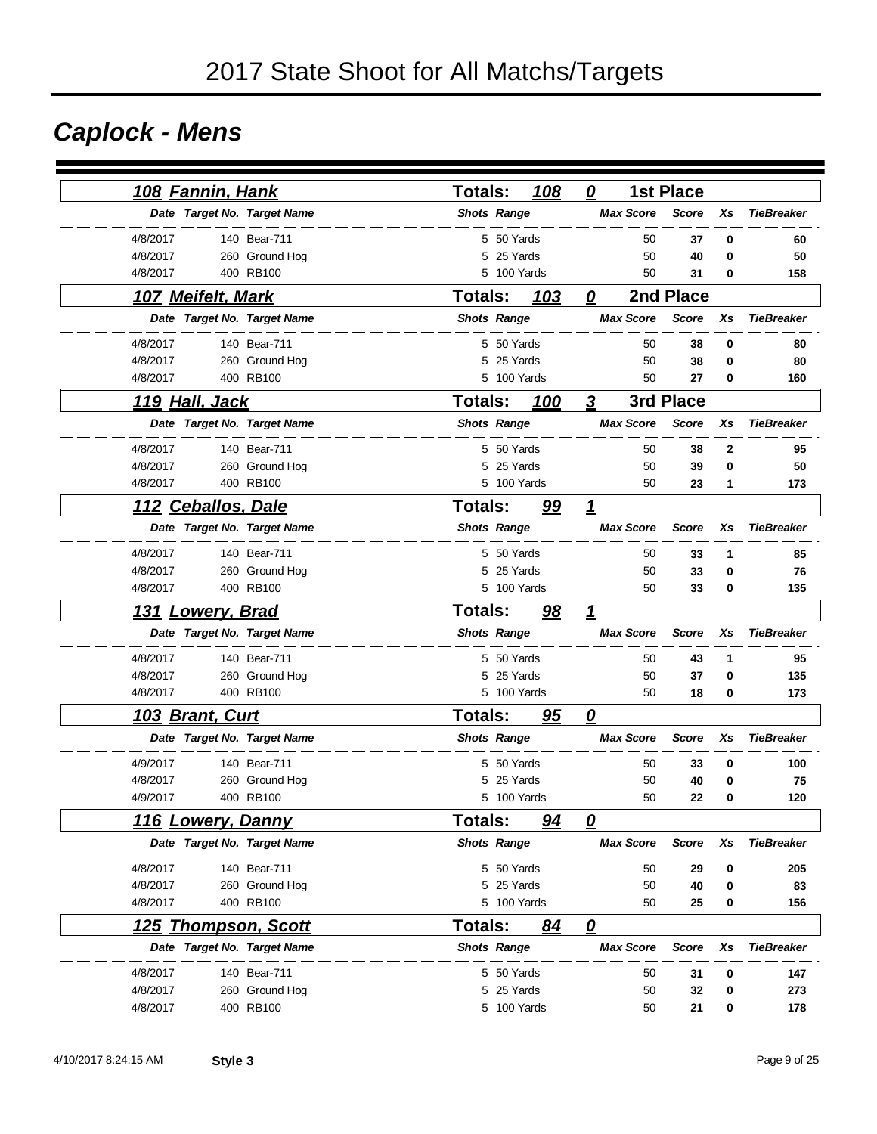## *Caplock - Mens*

| <u>108 Fannin, Hank</u>     |                | <b>Totals:</b>     |             | 108 | 0                       | <b>1st Place</b> |    |                   |
|-----------------------------|----------------|--------------------|-------------|-----|-------------------------|------------------|----|-------------------|
| Date Target No. Target Name |                | <b>Shots Range</b> |             |     | <b>Max Score</b>        | <b>Score</b>     | Xs | <b>TieBreaker</b> |
| 4/8/2017                    | 140 Bear-711   |                    | 5 50 Yards  |     |                         | 50<br>37         | 0  | 60                |
| 4/8/2017                    | 260 Ground Hog | 5                  | 25 Yards    |     |                         | 50<br>40         | 0  | 50                |
| 4/8/2017                    | 400 RB100      | 5                  | 100 Yards   |     |                         | 50<br>31         | 0  | 158               |
| 107 Meifelt, Mark           |                | <b>Totals:</b>     |             | 103 | 0                       | 2nd Place        |    |                   |
| Date Target No. Target Name |                | <b>Shots Range</b> |             |     | <b>Max Score</b>        | <b>Score</b>     | Xs | <b>TieBreaker</b> |
| 4/8/2017                    | 140 Bear-711   |                    | 5 50 Yards  |     |                         | 50<br>38         | 0  | 80                |
| 4/8/2017                    | 260 Ground Hog | 5                  | 25 Yards    |     |                         | 50<br>38         | 0  | 80                |
| 4/8/2017                    | 400 RB100      |                    | 5 100 Yards |     |                         | 50<br>27         | 0  | 160               |
| <u>119 Hall, Jack</u>       |                | <b>Totals:</b>     |             | 100 | 3                       | 3rd Place        |    |                   |
| Date Target No. Target Name |                | <b>Shots Range</b> |             |     | <b>Max Score</b>        | <b>Score</b>     | Xs | <b>TieBreaker</b> |
| 4/8/2017                    | 140 Bear-711   |                    | 5 50 Yards  |     |                         | 50<br>38         | 2  | 95                |
| 4/8/2017                    | 260 Ground Hog | 5                  | 25 Yards    |     |                         | 50<br>39         | 0  | 50                |
| 4/8/2017                    | 400 RB100      |                    | 5 100 Yards |     |                         | 50<br>23         | 1  | 173               |
| 112 Ceballos, Dale          |                | <b>Totals:</b>     |             | 99  | 1                       |                  |    |                   |
| Date Target No. Target Name |                | <b>Shots Range</b> |             |     | <b>Max Score</b>        | <b>Score</b>     | Xs | <b>TieBreaker</b> |
| 4/8/2017                    | 140 Bear-711   |                    | 5 50 Yards  |     |                         | 50<br>33         | 1  | 85                |
| 4/8/2017                    | 260 Ground Hog |                    | 5 25 Yards  |     |                         | 50<br>33         | 0  | 76                |
| 4/8/2017                    | 400 RB100      |                    | 5 100 Yards |     |                         | 50<br>33         | 0  | 135               |
| 131<br><u> Lowery, Brad</u> |                | <b>Totals:</b>     |             | 98  | 1                       |                  |    |                   |
| Date Target No. Target Name |                | <b>Shots Range</b> |             |     | <b>Max Score</b>        | <b>Score</b>     | Xs | <b>TieBreaker</b> |
| 4/8/2017                    | 140 Bear-711   |                    | 5 50 Yards  |     |                         | 50<br>43         | 1  | 95                |
| 4/8/2017                    | 260 Ground Hog |                    | 5 25 Yards  |     |                         | 50<br>37         | 0  | 135               |
| 4/8/2017                    | 400 RB100      |                    | 5 100 Yards |     |                         | 50<br>18         | 0  | 173               |
| <u> 103 Brant, Curt</u>     |                | <b>Totals:</b>     |             | 95  | 0                       |                  |    |                   |
| Date Target No. Target Name |                | <b>Shots Range</b> |             |     | <b>Max Score</b>        | <b>Score</b>     | Xs | <b>TieBreaker</b> |
| 4/9/2017                    | 140 Bear-711   |                    | 5 50 Yards  |     |                         | 50<br>33         | 0  | 100               |
| 4/8/2017                    | 260 Ground Hog | 5                  | 25 Yards    |     |                         | 50<br>40         | 0  | 75                |
| 4/9/2017                    | 400 RB100      |                    | 5 100 Yards |     |                         | 50<br>22         | 0  | 120               |
| <b>116 Lowery, Danny</b>    |                | Totals:            |             | 94  | $\overline{\mathbf{0}}$ |                  |    |                   |
| Date Target No. Target Name |                | <b>Shots Range</b> |             |     | <b>Max Score</b>        | <b>Score</b>     | Xs | <b>TieBreaker</b> |
| 4/8/2017                    | 140 Bear-711   |                    | 5 50 Yards  |     |                         | 50<br>29         | 0  | 205               |
| 4/8/2017                    | 260 Ground Hog |                    | 5 25 Yards  |     |                         | 50<br>40         | 0  | 83                |
| 4/8/2017                    | 400 RB100      |                    | 5 100 Yards |     |                         | 50<br>25         | 0  | 156               |
| 125 Thompson, Scott         |                | <b>Totals:</b>     |             | 84  | 0                       |                  |    |                   |
| Date Target No. Target Name |                | <b>Shots Range</b> |             |     | <b>Max Score</b>        | <b>Score</b>     | Xs | <b>TieBreaker</b> |
| 4/8/2017                    | 140 Bear-711   |                    | 5 50 Yards  |     |                         | 50<br>31         | 0  | 147               |
| 4/8/2017                    | 260 Ground Hog |                    | 5 25 Yards  |     |                         | 50<br>32         | 0  | 273               |
| 4/8/2017                    | 400 RB100      |                    | 5 100 Yards |     |                         | 50<br>21         | 0  | 178               |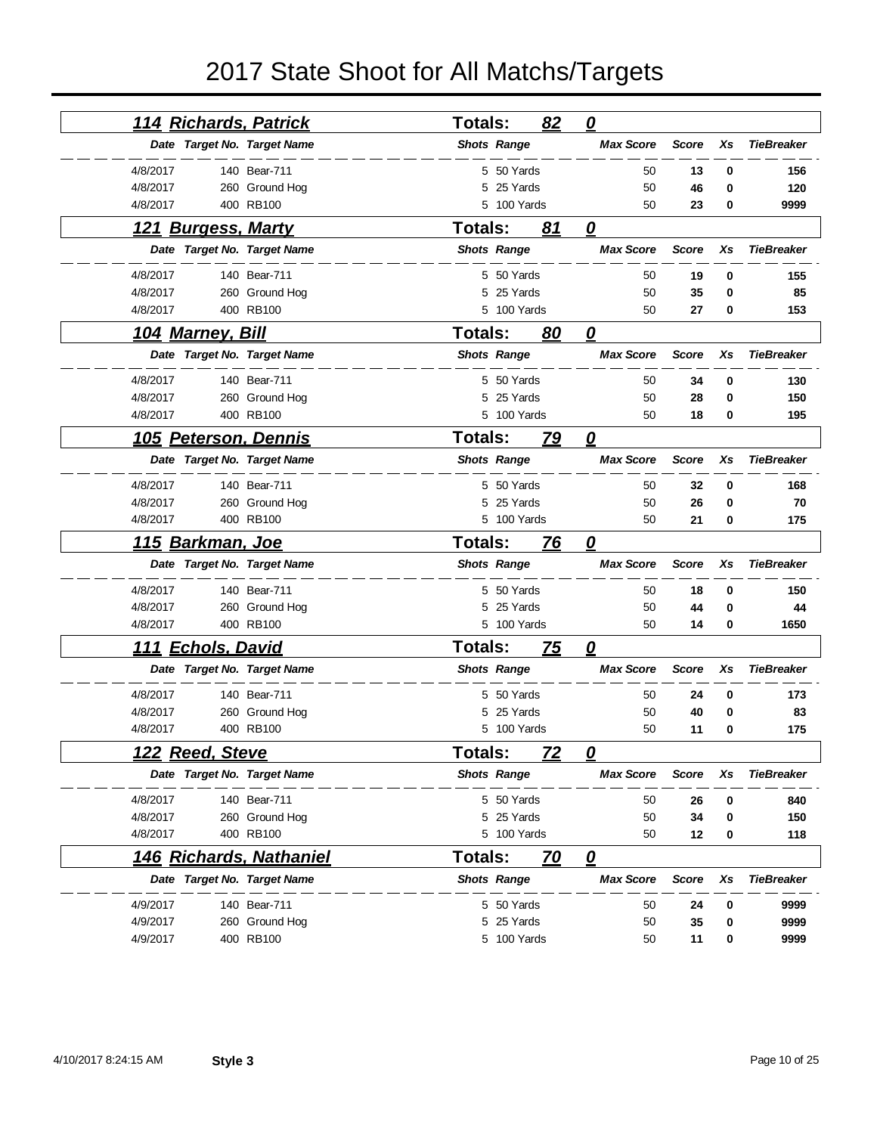| 114 Richards, Patrick               |                | <b>Totals:</b> |                    | 82        | $\overline{\mathbf{0}}$ |              |    |                   |
|-------------------------------------|----------------|----------------|--------------------|-----------|-------------------------|--------------|----|-------------------|
| Date Target No. Target Name         |                |                | <b>Shots Range</b> |           | <b>Max Score</b>        | <b>Score</b> | Xs | <b>TieBreaker</b> |
| 4/8/2017                            | 140 Bear-711   |                | 5 50 Yards         |           | 50                      | 13           | 0  | 156               |
| 4/8/2017                            | 260 Ground Hog |                | 5 25 Yards         |           | 50                      | 46           | 0  | 120               |
| 4/8/2017                            | 400 RB100      |                | 5 100 Yards        |           | 50                      | 23           | 0  | 9999              |
| <u>121 Burgess, Marty</u>           |                | <b>Totals:</b> |                    | 81        | 0                       |              |    |                   |
| Date Target No. Target Name         |                |                | <b>Shots Range</b> |           | <b>Max Score</b>        | <b>Score</b> | Xs | <b>TieBreaker</b> |
| 4/8/2017                            | 140 Bear-711   |                | 5 50 Yards         |           | 50                      | 19           | 0  | 155               |
| 4/8/2017                            | 260 Ground Hog | 5              | 25 Yards           |           | 50                      | 35           | 0  | 85                |
| 4/8/2017                            | 400 RB100      |                | 5 100 Yards        |           | 50                      | 27           | 0  | 153               |
| <u>104 Marney, Bill</u>             |                | <b>Totals:</b> |                    | 80        | 0                       |              |    |                   |
| Date Target No. Target Name         |                |                | <b>Shots Range</b> |           | <b>Max Score</b>        | <b>Score</b> | Xs | <b>TieBreaker</b> |
| 4/8/2017                            | 140 Bear-711   |                | 5 50 Yards         |           | 50                      | 34           | 0  | 130               |
| 4/8/2017                            | 260 Ground Hog |                | 5 25 Yards         |           | 50                      | 28           | 0  | 150               |
| 4/8/2017                            | 400 RB100      |                | 5 100 Yards        |           | 50                      | 18           | 0  | 195               |
| 105 Peterson, Dennis                |                | <b>Totals:</b> |                    | 79        | 0                       |              |    |                   |
| Date Target No. Target Name         |                |                | <b>Shots Range</b> |           | <b>Max Score</b>        | <b>Score</b> | Xs | <b>TieBreaker</b> |
| 4/8/2017                            | 140 Bear-711   |                | 5 50 Yards         |           | 50                      | 32           | 0  | 168               |
| 4/8/2017                            | 260 Ground Hog | 5              | 25 Yards           |           | 50                      | 26           | 0  | 70                |
| 4/8/2017                            | 400 RB100      |                | 5 100 Yards        |           | 50                      | 21           | 0  | 175               |
|                                     |                |                |                    |           |                         |              |    |                   |
| <u>115 Barkman, Joe</u>             |                | <b>Totals:</b> |                    | 76        | 0                       |              |    |                   |
| Date Target No. Target Name         |                |                | <b>Shots Range</b> |           | <b>Max Score</b>        | <b>Score</b> | Xs | <b>TieBreaker</b> |
| 4/8/2017                            | 140 Bear-711   |                | 5 50 Yards         |           | 50                      | 18           | 0  | 150               |
| 4/8/2017                            | 260 Ground Hog | 5              | 25 Yards           |           | 50                      | 44           | 0  | 44                |
| 4/8/2017                            | 400 RB100      |                | 5 100 Yards        |           | 50                      | 14           | 0  | 1650              |
| <b>Echols, David</b><br><u> 111</u> |                | Totals:        |                    | <u>75</u> | 0                       |              |    |                   |
| Date Target No. Target Name         |                |                | <b>Shots Range</b> |           | <b>Max Score</b>        | <b>Score</b> | Xs | <b>TieBreaker</b> |
| 4/8/2017                            | 140 Bear-711   |                | 5 50 Yards         |           | 50                      | 24           | 0  | 173               |
| 4/8/2017                            | 260 Ground Hog |                | 25 Yards           |           | 50                      | 40           | 0  | 83                |
| 4/8/2017                            | 400 RB100      |                | 5 100 Yards        |           | 50                      | 11           | 0  | 175               |
| 122<br><b>Reed, Steve</b>           |                | <b>Totals:</b> |                    | 72        | 0                       |              |    |                   |
| Date Target No. Target Name         |                |                | <b>Shots Range</b> |           | <b>Max Score</b>        | Score        | Xs | <b>TieBreaker</b> |
| 4/8/2017                            | 140 Bear-711   |                | 5 50 Yards         |           | 50                      | 26           | 0  | 840               |
| 4/8/2017                            | 260 Ground Hog |                | 5 25 Yards         |           | 50                      | 34           | 0  | 150               |
| 4/8/2017                            | 400 RB100      |                | 5 100 Yards        |           | 50                      | 12           | 0  | 118               |
| <u>146 Richards, Nathaniel</u>      |                | <b>Totals:</b> |                    | 70        | $\overline{\mathbf{0}}$ |              |    |                   |
| Date Target No. Target Name         |                |                | <b>Shots Range</b> |           | <b>Max Score</b>        | <b>Score</b> | Xs | <b>TieBreaker</b> |
| 4/9/2017                            | 140 Bear-711   |                | 5 50 Yards         |           | 50                      | 24           | 0  | 9999              |
| 4/9/2017                            | 260 Ground Hog |                | 5 25 Yards         |           | 50                      | 35           | 0  | 9999              |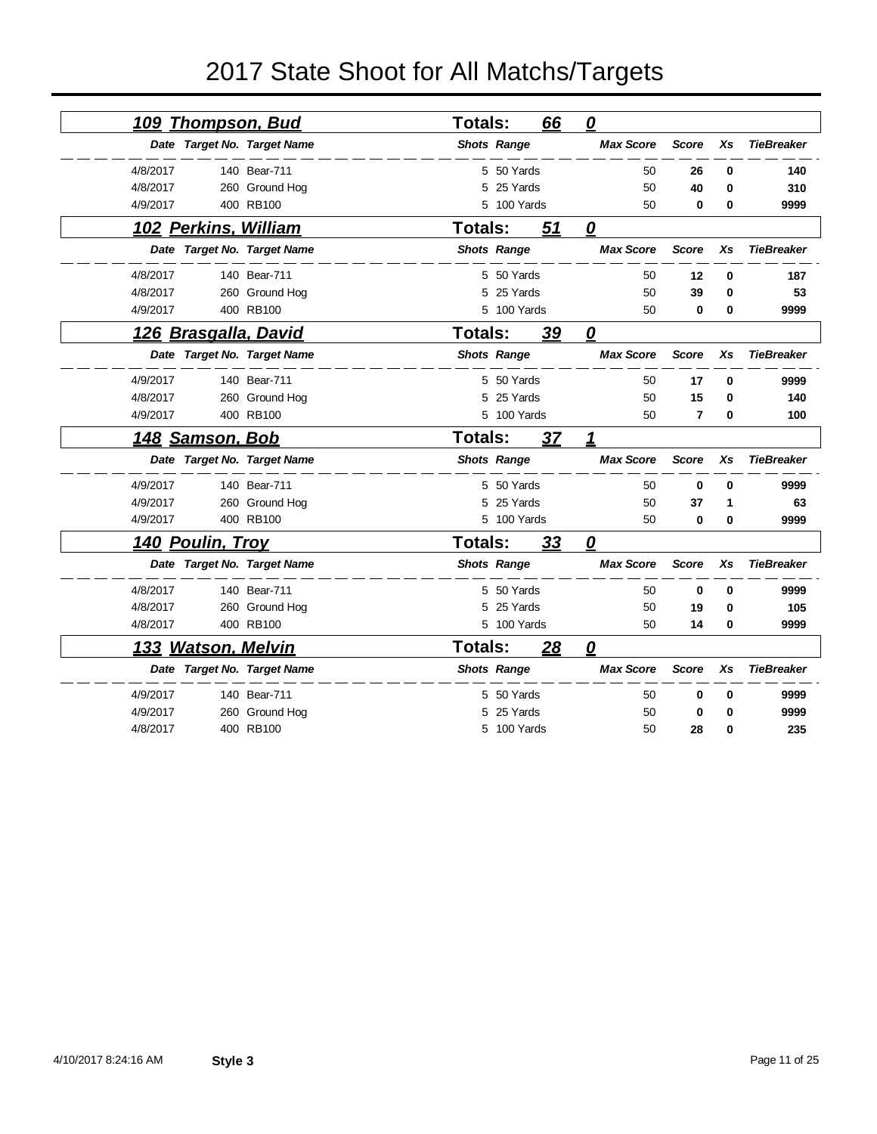| <u>109 Thompson, Bud</u>  |                             | <b>Totals:</b> |                    | 66 | $\overline{\mathbf{0}}$ |                |          |                   |
|---------------------------|-----------------------------|----------------|--------------------|----|-------------------------|----------------|----------|-------------------|
|                           | Date Target No. Target Name |                | <b>Shots Range</b> |    | <b>Max Score</b>        | <b>Score</b>   | Xs       | <b>TieBreaker</b> |
| 4/8/2017                  | 140 Bear-711                |                | 5 50 Yards         |    | 50                      | 26             | 0        | 140               |
| 4/8/2017                  | 260 Ground Hog              | 5              | 25 Yards           |    | 50                      | 40             | $\bf{0}$ | 310               |
| 4/9/2017                  | 400 RB100                   |                | 5 100 Yards        |    | 50                      | 0              | 0        | 9999              |
| 102 Perkins, William      |                             | <b>Totals:</b> |                    | 51 | 0                       |                |          |                   |
|                           | Date Target No. Target Name |                | <b>Shots Range</b> |    | <b>Max Score</b>        | <b>Score</b>   | Xs       | <b>TieBreaker</b> |
| 4/8/2017                  | 140 Bear-711                |                | 5 50 Yards         |    | 50                      | 12             | 0        | 187               |
| 4/8/2017                  | 260 Ground Hog              |                | 5 25 Yards         |    | 50                      | 39             | 0        | 53                |
| 4/9/2017                  | 400 RB100                   |                | 5 100 Yards        |    | 50                      | $\mathbf 0$    | 0        | 9999              |
| 126 Brasgalla, David      |                             | Totals:        |                    | 39 | 0                       |                |          |                   |
|                           | Date Target No. Target Name |                | <b>Shots Range</b> |    | <b>Max Score</b>        | <b>Score</b>   | Xs       | <b>TieBreaker</b> |
| 4/9/2017                  | 140 Bear-711                |                | 5 50 Yards         |    | 50                      | 17             | $\bf{0}$ | 9999              |
| 4/8/2017                  | 260 Ground Hog              | 5              | 25 Yards           |    | 50                      | 15             | 0        | 140               |
| 4/9/2017                  | 400 RB100                   |                | 5 100 Yards        |    | 50                      | $\overline{7}$ | 0        | 100               |
| <u>148 Samson, Bob</u>    |                             | <b>Totals:</b> |                    | 37 | 1                       |                |          |                   |
|                           | Date Target No. Target Name |                | <b>Shots Range</b> |    | <b>Max Score</b>        | <b>Score</b>   | Xs       | <b>TieBreaker</b> |
| 4/9/2017                  | 140 Bear-711                |                | 5 50 Yards         |    | 50                      | 0              | $\bf{0}$ | 9999              |
| 4/9/2017                  | 260 Ground Hog              |                | 25 Yards           |    | 50                      | 37             | 1        | 63                |
| 4/9/2017                  | 400 RB100                   |                | 5 100 Yards        |    | 50                      | 0              | 0        | 9999              |
| 140 Poulin, Troy          |                             | <b>Totals:</b> |                    | 33 | 0                       |                |          |                   |
|                           | Date Target No. Target Name |                | <b>Shots Range</b> |    | <b>Max Score</b>        | <b>Score</b>   | Xs       | <b>TieBreaker</b> |
| 4/8/2017                  | 140 Bear-711                |                | 5 50 Yards         |    | 50                      | $\mathbf 0$    | 0        | 9999              |
| 4/8/2017                  | 260 Ground Hog              | 5              | 25 Yards           |    | 50                      | 19             | 0        | 105               |
| 4/8/2017                  | 400 RB100                   |                | 5 100 Yards        |    | 50                      | 14             | 0        | 9999              |
| <u>133 Watson, Melvin</u> |                             | <b>Totals:</b> |                    | 28 | $\boldsymbol{\varrho}$  |                |          |                   |
|                           | Date Target No. Target Name |                | <b>Shots Range</b> |    | <b>Max Score</b>        | <b>Score</b>   | Xs       | <b>TieBreaker</b> |
| 4/9/2017                  | 140 Bear-711                | 5              | 50 Yards           |    | 50                      | $\bf{0}$       | $\bf{0}$ | 9999              |
| 4/9/2017                  | 260 Ground Hog              | 5              | 25 Yards           |    | 50                      | $\bf{0}$       | 0        | 9999              |
| 4/8/2017                  | 400 RB100                   |                | 5 100 Yards        |    | 50                      | 28             | 0        | 235               |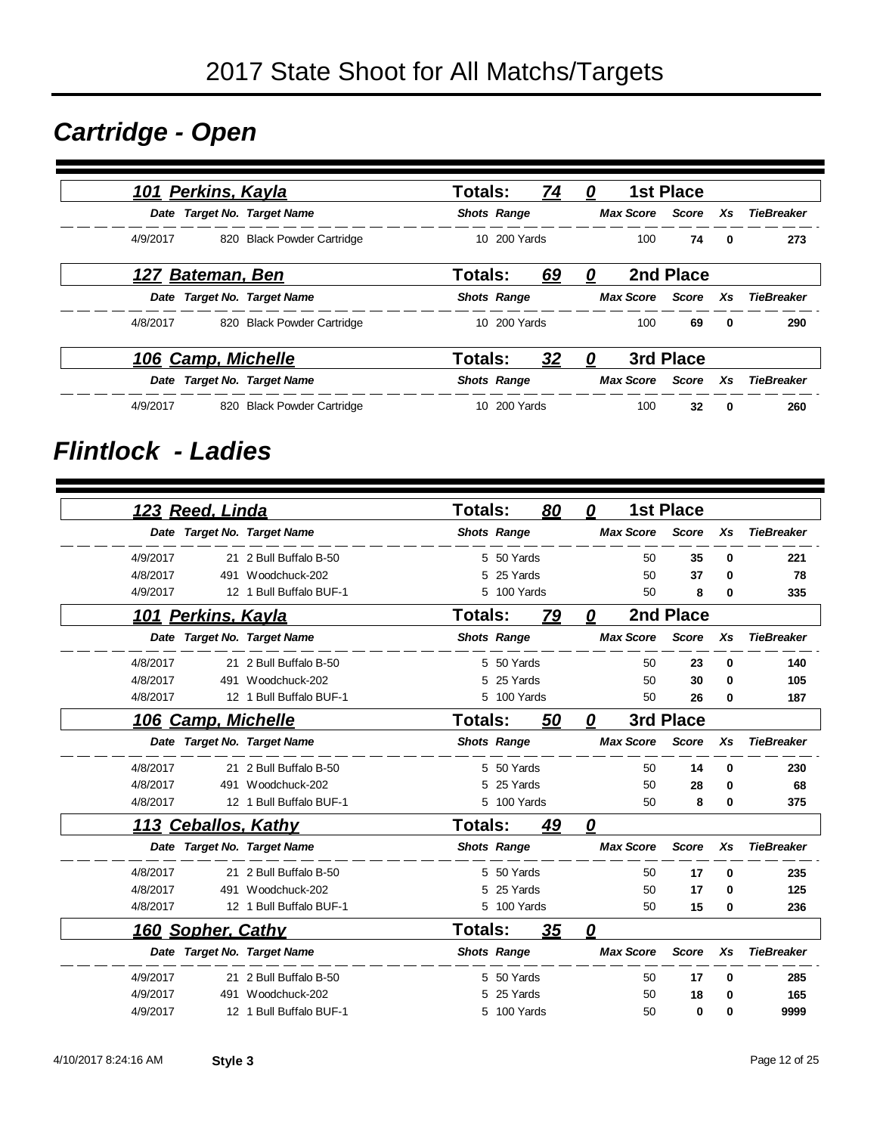### *Cartridge - Open*

| 101 Perkins, Kayla          |                            | Totals:        |                    | <u>74</u> | 0 |     | <b>1st Place</b> |              |                               |
|-----------------------------|----------------------------|----------------|--------------------|-----------|---|-----|------------------|--------------|-------------------------------|
| Date Target No. Target Name |                            |                | <b>Shots Range</b> |           |   |     |                  |              | Max Score Score Xs TieBreaker |
| 4/9/2017                    | 820 Black Powder Cartridge |                | 10 200 Yards       |           |   | 100 | 74               | $\mathbf{0}$ | 273                           |
| 127 Bateman, Ben            |                            | Totals:        |                    | 69        | 0 |     | 2nd Place        |              |                               |
| Date Target No. Target Name |                            |                | <b>Shots Range</b> |           |   |     |                  |              | Max Score Score Xs TieBreaker |
| 4/8/2017                    | 820 Black Powder Cartridge |                | 10 200 Yards       |           |   | 100 | 69               | $\mathbf{0}$ | 290                           |
| 106 Camp. Michelle          |                            | <b>Totals:</b> |                    | 32        | 0 |     | 3rd Place        |              |                               |
| Date Target No. Target Name |                            |                | <b>Shots Range</b> |           |   |     |                  |              | Max Score Score Xs TieBreaker |
| 4/9/2017                    | 820 Black Powder Cartridge |                | 10 200 Yards       |           |   | 100 | 32               | 0            | 260                           |

#### *Flintlock - Ladies*

|          | 123 Reed, Linda          |                             | <b>Totals:</b> |                    | 80        | 0                       |                  | <b>1st Place</b> |    |                   |
|----------|--------------------------|-----------------------------|----------------|--------------------|-----------|-------------------------|------------------|------------------|----|-------------------|
|          |                          | Date Target No. Target Name |                | <b>Shots Range</b> |           |                         | <b>Max Score</b> | <b>Score</b>     | Xs | <b>TieBreaker</b> |
| 4/9/2017 |                          | 21 2 Bull Buffalo B-50      |                | 5 50 Yards         |           |                         | 50               | 35               | 0  | 221               |
| 4/8/2017 | 491                      | Woodchuck-202               | 5              | 25 Yards           |           |                         | 50               | 37               | 0  | 78                |
| 4/9/2017 |                          | 12 1 Bull Buffalo BUF-1     |                | 5 100 Yards        |           |                         | 50               | 8                | 0  | 335               |
| 101      | <u>Perkins, Kayla</u>    |                             | Totals:        |                    | <u>79</u> | 0                       |                  | 2nd Place        |    |                   |
|          |                          | Date Target No. Target Name |                | <b>Shots Range</b> |           |                         | <b>Max Score</b> | <b>Score</b>     | Xs | <b>TieBreaker</b> |
| 4/8/2017 |                          | 21 2 Bull Buffalo B-50      |                | 5 50 Yards         |           |                         | 50               | 23               | 0  | 140               |
| 4/8/2017 |                          | 491 Woodchuck-202           | 5              | 25 Yards           |           |                         | 50               | 30               | 0  | 105               |
| 4/8/2017 |                          | 12 1 Bull Buffalo BUF-1     | 5              | 100 Yards          |           |                         | 50               | 26               | 0  | 187               |
|          | 106 Camp, Michelle       |                             | <b>Totals:</b> |                    | 50        | 0                       |                  | 3rd Place        |    |                   |
|          |                          | Date Target No. Target Name |                | <b>Shots Range</b> |           |                         | <b>Max Score</b> | <b>Score</b>     | Xs | <b>TieBreaker</b> |
| 4/8/2017 |                          | 21 2 Bull Buffalo B-50      |                | 5 50 Yards         |           |                         | 50               | 14               | 0  | 230               |
| 4/8/2017 | 491                      | Woodchuck-202               | 5              | 25 Yards           |           |                         | 50               | 28               | 0  | 68                |
| 4/8/2017 |                          | 12 1 Bull Buffalo BUF-1     | 5.             | 100 Yards          |           |                         | 50               | 8                | 0  | 375               |
|          |                          | 113 Ceballos, Kathy         | <b>Totals:</b> |                    | <u>49</u> | $\boldsymbol{\varrho}$  |                  |                  |    |                   |
|          |                          | Date Target No. Target Name |                | <b>Shots Range</b> |           |                         | <b>Max Score</b> | <b>Score</b>     | Xs | <b>TieBreaker</b> |
| 4/8/2017 |                          | 21 2 Bull Buffalo B-50      |                | 5 50 Yards         |           |                         | 50               | 17               | 0  | 235               |
| 4/8/2017 | 491                      | Woodchuck-202               | 5              | 25 Yards           |           |                         | 50               | 17               | 0  | 125               |
| 4/8/2017 |                          | 12 1 Bull Buffalo BUF-1     |                | 5 100 Yards        |           |                         | 50               | 15               | 0  | 236               |
|          | <b>160 Sopher, Cathy</b> |                             | Totals:        |                    | 35        | $\overline{\mathbf{0}}$ |                  |                  |    |                   |
|          |                          | Date Target No. Target Name |                | <b>Shots Range</b> |           |                         | <b>Max Score</b> | <b>Score</b>     | Xs | <b>TieBreaker</b> |
| 4/9/2017 |                          | 21 2 Bull Buffalo B-50      | 5.             | 50 Yards           |           |                         | 50               | 17               | 0  | 285               |
| 4/9/2017 | 491                      | Woodchuck-202               |                | 25 Yards           |           |                         | 50               | 18               | 0  | 165               |
| 4/9/2017 |                          | 12 1 Bull Buffalo BUF-1     | 5.             | 100 Yards          |           |                         | 50               | 0                | 0  | 9999              |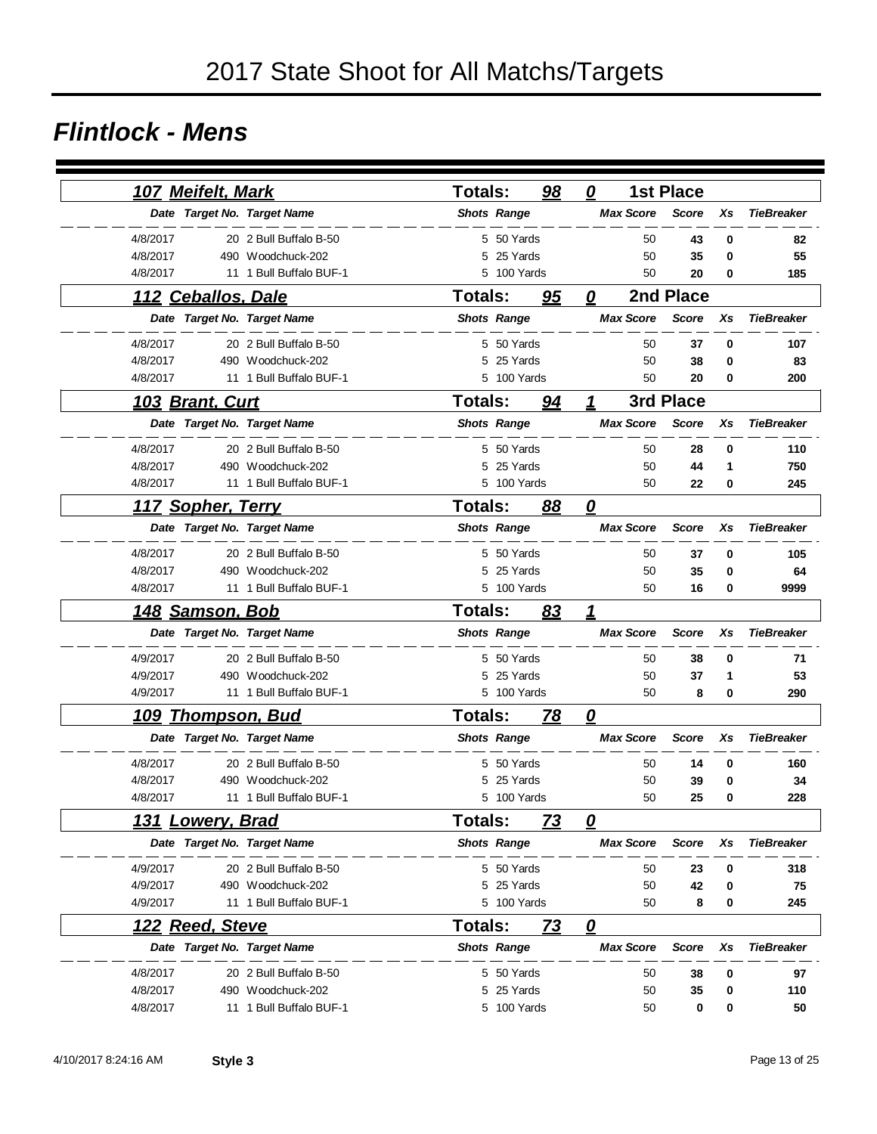#### *Flintlock - Mens*

|          | 107 Meifelt, Mark       |                             | <b>Totals:</b> |                    | 98        | 0                       | <b>1st Place</b> |    |                   |
|----------|-------------------------|-----------------------------|----------------|--------------------|-----------|-------------------------|------------------|----|-------------------|
|          |                         | Date Target No. Target Name |                | <b>Shots Range</b> |           | <b>Max Score</b>        | <b>Score</b>     | Xs | <b>TieBreaker</b> |
| 4/8/2017 |                         | 20 2 Bull Buffalo B-50      |                | 5 50 Yards         |           | 50                      | 43               | 0  | 82                |
| 4/8/2017 |                         | 490 Woodchuck-202           | 5              | 25 Yards           |           | 50                      | 35               | 0  | 55                |
| 4/8/2017 |                         | 11 1 Bull Buffalo BUF-1     | 5              | 100 Yards          |           | 50                      | 20               | 0  | 185               |
|          | 112 Ceballos, Dale      |                             | <b>Totals:</b> |                    | 95        | 0                       | 2nd Place        |    |                   |
|          |                         | Date Target No. Target Name |                | <b>Shots Range</b> |           | <b>Max Score</b>        | <b>Score</b>     | Xs | <b>TieBreaker</b> |
| 4/8/2017 |                         | 20 2 Bull Buffalo B-50      |                | 5 50 Yards         |           | 50                      | 37               | 0  | 107               |
| 4/8/2017 |                         | 490 Woodchuck-202           | 5              | 25 Yards           |           | 50                      | 38               | 0  | 83                |
| 4/8/2017 |                         | 11 1 Bull Buffalo BUF-1     |                | 5 100 Yards        |           | 50                      | 20               | 0  | 200               |
|          | <u>103 Brant, Curt</u>  |                             | <b>Totals:</b> |                    | 94        | 1                       | 3rd Place        |    |                   |
|          |                         | Date Target No. Target Name |                | <b>Shots Range</b> |           | <b>Max Score</b>        | <b>Score</b>     | Xs | <b>TieBreaker</b> |
| 4/8/2017 |                         | 20 2 Bull Buffalo B-50      |                | 5 50 Yards         |           | 50                      | 28               | 0  | 110               |
| 4/8/2017 |                         | 490 Woodchuck-202           | 5              | 25 Yards           |           | 50                      | 44               | 1  | 750               |
| 4/8/2017 |                         | 11 1 Bull Buffalo BUF-1     |                | 5 100 Yards        |           | 50                      | 22               | 0  | 245               |
|          | 117 Sopher, Terry       |                             | <b>Totals:</b> |                    | 88        | $\overline{\mathbf{0}}$ |                  |    |                   |
|          |                         | Date Target No. Target Name |                | <b>Shots Range</b> |           | <b>Max Score</b>        | <b>Score</b>     | Xs | <b>TieBreaker</b> |
| 4/8/2017 |                         | 20 2 Bull Buffalo B-50      |                | 5 50 Yards         |           | 50                      | 37               | 0  | 105               |
| 4/8/2017 |                         | 490 Woodchuck-202           | 5              | 25 Yards           |           | 50                      | 35               | 0  | 64                |
| 4/8/2017 |                         | 11 1 Bull Buffalo BUF-1     |                | 5 100 Yards        |           | 50                      | 16               | 0  | 9999              |
|          | <u>148 Samson, Bob</u>  |                             | Totals:        |                    | 83        | 1                       |                  |    |                   |
|          |                         | Date Target No. Target Name |                | <b>Shots Range</b> |           | <b>Max Score</b>        | <b>Score</b>     | Xs | <b>TieBreaker</b> |
| 4/9/2017 |                         | 20 2 Bull Buffalo B-50      |                | 5 50 Yards         |           | 50                      | 38               | 0  | 71                |
| 4/9/2017 |                         | 490 Woodchuck-202           | 5              | 25 Yards           |           | 50                      | 37               | 1  | 53                |
| 4/9/2017 |                         | 11 1 Bull Buffalo BUF-1     |                | 5 100 Yards        |           | 50                      | 8                | 0  | 290               |
| 109      | <b>Thompson, Bud</b>    |                             | Totals:        |                    | <u>78</u> | $\overline{\mathbf{0}}$ |                  |    |                   |
|          |                         | Date Target No. Target Name |                | <b>Shots Range</b> |           | <b>Max Score</b>        | <b>Score</b>     | Xs | <b>TieBreaker</b> |
| 4/8/2017 |                         | 20 2 Bull Buffalo B-50      |                | 5 50 Yards         |           | 50                      | 14               | 0  | 160               |
| 4/8/2017 |                         | 490 Woodchuck-202           | 5              | 25 Yards           |           | 50                      | 39               | 0  | 34                |
| 4/8/2017 |                         | 11 1 Bull Buffalo BUF-1     |                | 5 100 Yards        |           | 50                      | 25               | 0  | 228               |
|          | <u>131 Lowery, Brad</u> |                             | Totals:        |                    | <u>73</u> | $\overline{\mathbf{0}}$ |                  |    |                   |
|          |                         | Date Target No. Target Name |                | <b>Shots Range</b> |           | <b>Max Score</b>        | <b>Score</b>     | Xs | <b>TieBreaker</b> |
| 4/9/2017 |                         | 20 2 Bull Buffalo B-50      |                | 5 50 Yards         |           | 50                      | 23               | 0  | 318               |
| 4/9/2017 |                         | 490 Woodchuck-202           |                | 5 25 Yards         |           | 50                      | 42               | 0  | 75                |
| 4/9/2017 |                         | 11 1 Bull Buffalo BUF-1     |                | 5 100 Yards        |           | 50                      | 8                | 0  | 245               |
|          | 122 Reed, Steve         |                             | Totals:        |                    | 73        | $\overline{\mathbf{0}}$ |                  |    |                   |
|          |                         | Date Target No. Target Name |                | <b>Shots Range</b> |           | <b>Max Score</b>        | <b>Score</b>     | Xs | <b>TieBreaker</b> |
| 4/8/2017 |                         | 20 2 Bull Buffalo B-50      |                | 5 50 Yards         |           | 50                      | 38               | 0  | 97                |
| 4/8/2017 |                         | 490 Woodchuck-202           |                | 25 Yards           |           | 50                      | 35               | 0  | 110               |
| 4/8/2017 |                         | 11 1 Bull Buffalo BUF-1     |                | 5 100 Yards        |           | 50                      | 0                | 0  | 50                |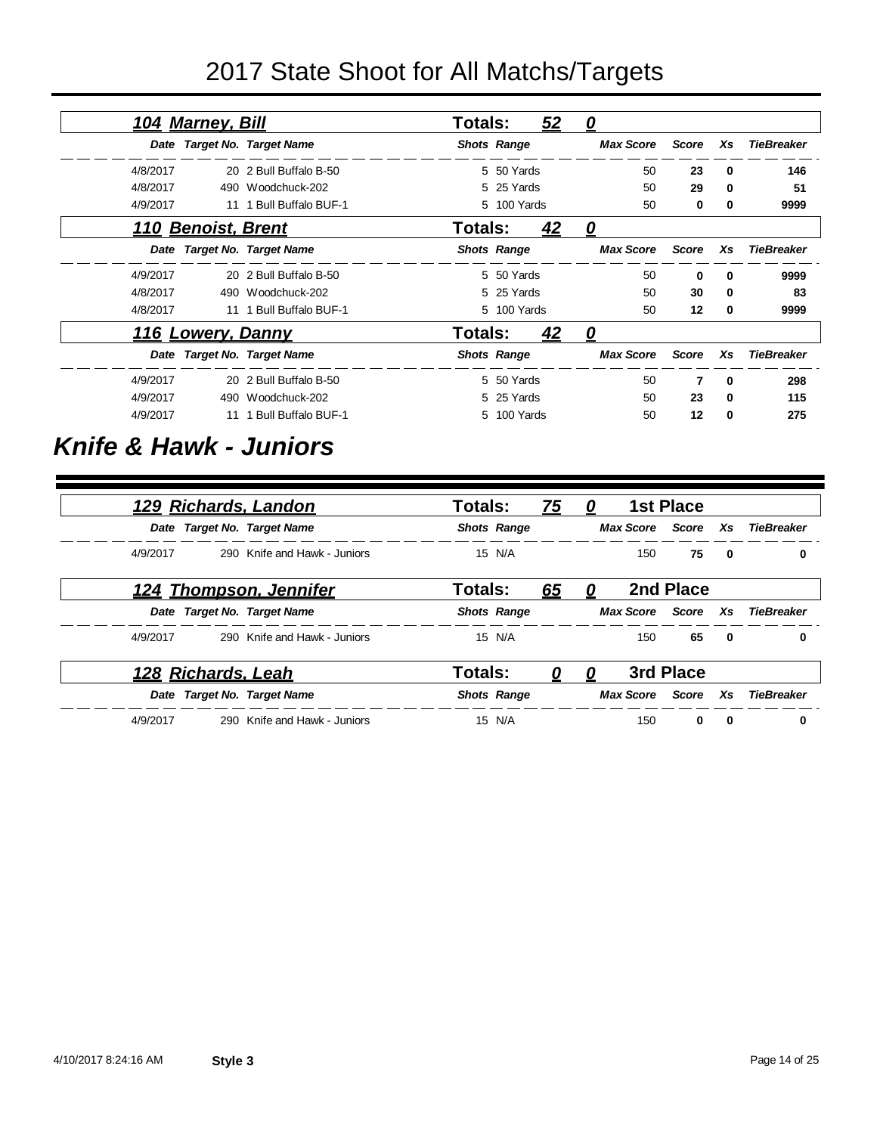|          | <u>104 Marney, Bill</u> |                             | Totals: |                    | 52 | <u>0</u>         |              |              |                   |
|----------|-------------------------|-----------------------------|---------|--------------------|----|------------------|--------------|--------------|-------------------|
|          |                         | Date Target No. Target Name |         | <b>Shots Range</b> |    | <b>Max Score</b> | <b>Score</b> | Xs           | <b>TieBreaker</b> |
| 4/8/2017 |                         | 20 2 Bull Buffalo B-50      |         | 5 50 Yards         |    | 50               | 23           | 0            | 146               |
| 4/8/2017 |                         | 490 Woodchuck-202           |         | 5 25 Yards         |    | 50               | 29           | 0            | 51                |
| 4/9/2017 | 11                      | 1 Bull Buffalo BUF-1        |         | 5 100 Yards        |    | 50               | 0            | 0            | 9999              |
|          | 110 Benoist, Brent      |                             | Totals: |                    | 42 | 0                |              |              |                   |
|          |                         | Date Target No. Target Name |         | <b>Shots Range</b> |    | <b>Max Score</b> | <b>Score</b> | Xs           | <b>TieBreaker</b> |
| 4/9/2017 |                         | 20 2 Bull Buffalo B-50      |         | 5 50 Yards         |    | 50               | 0            | 0            | 9999              |
| 4/8/2017 |                         | 490 Woodchuck-202           |         | 5 25 Yards         |    | 50               | 30           | 0            | 83                |
| 4/8/2017 | 11                      | 1 Bull Buffalo BUF-1        |         | 5 100 Yards        |    | 50               | 12           | 0            | 9999              |
|          | 116 Lowery, Danny       |                             | Totals: |                    | 42 | 0                |              |              |                   |
|          |                         | Date Target No. Target Name |         | <b>Shots Range</b> |    | <b>Max Score</b> | Score        | Xs           | <b>TieBreaker</b> |
| 4/9/2017 |                         | 20 2 Bull Buffalo B-50      |         | 5 50 Yards         |    | 50               | 7            | $\mathbf{0}$ | 298               |
| 4/9/2017 | 490                     | Woodchuck-202               |         | 5 25 Yards         |    | 50               | 23           | 0            | 115               |
| 4/9/2017 | 11                      | <b>Bull Buffalo BUF-1</b>   |         | 5 100 Yards        |    | 50               | 12           | 0            | 275               |

#### *Knife & Hawk - Juniors*

| <u>129 Richards, Landon</u> |                              | Totals:            | <u>75</u> | 0 |                  | <b>1st Place</b> |              |                     |
|-----------------------------|------------------------------|--------------------|-----------|---|------------------|------------------|--------------|---------------------|
| Date Target No. Target Name |                              | <b>Shots Range</b> |           |   | Max Score        |                  |              | Score Xs TieBreaker |
| 4/9/2017                    | 290 Knife and Hawk - Juniors | 15 N/A             |           |   | 150              | 75               | $\mathbf 0$  | 0                   |
| 124 Thompson, Jennifer      |                              | Totals:            | <u>65</u> | 0 |                  | 2nd Place        |              |                     |
| Date Target No. Target Name |                              | <b>Shots Range</b> |           |   | Max Score        | Score            | Xs           | TieBreaker          |
| 4/9/2017                    | 290 Knife and Hawk - Juniors | 15 N/A             |           |   | 150              | 65               | $\mathbf{0}$ | 0                   |
| 128 Richards, Leah          |                              | Totals:            | 0         | U |                  | 3rd Place        |              |                     |
| Date Target No. Target Name |                              | <b>Shots Range</b> |           |   | <b>Max Score</b> | Score            | Xs           | <b>TieBreaker</b>   |
| 4/9/2017                    | 290 Knife and Hawk - Juniors | 15 N/A             |           |   | 150              | 0                | 0            | 0                   |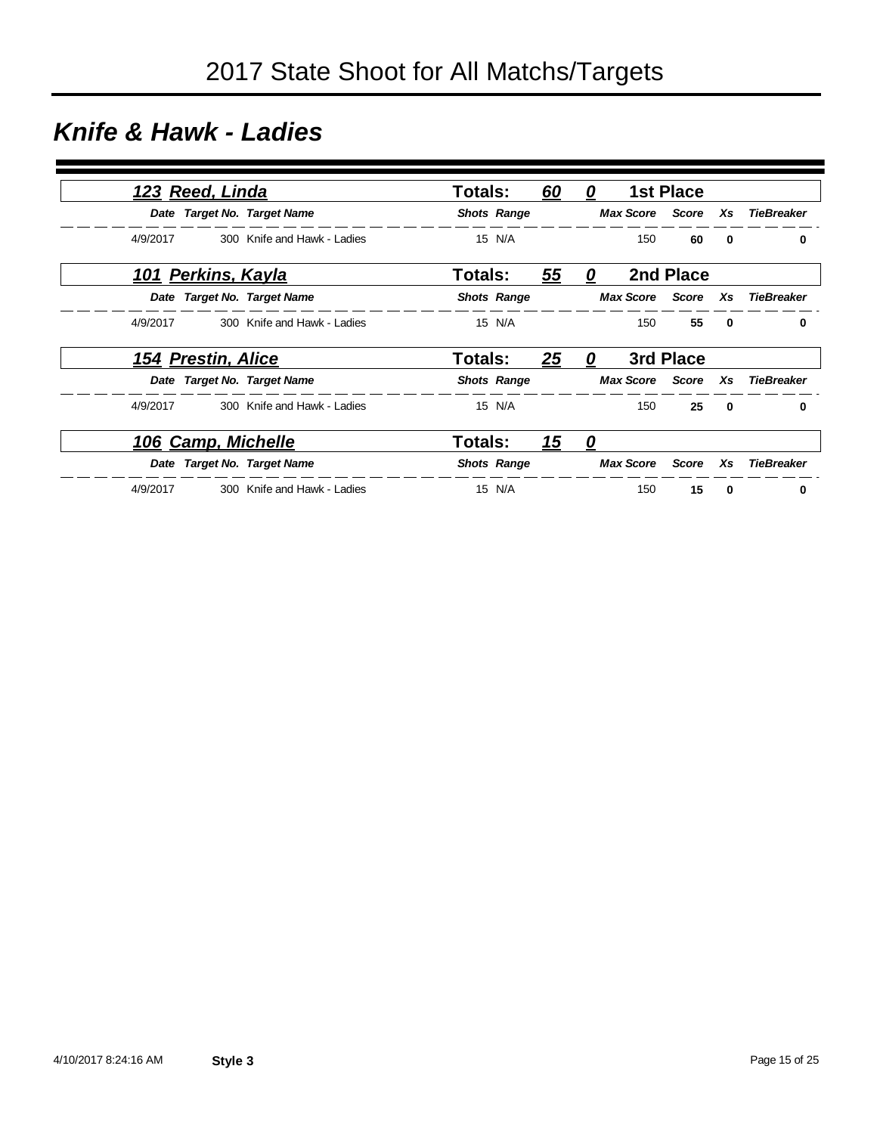#### *Knife & Hawk - Ladies*

| 123 Reed, Linda           |                             | Totals:        |                    | <u>60</u> | 0 |                        | <b>1st Place</b>       |              |                   |
|---------------------------|-----------------------------|----------------|--------------------|-----------|---|------------------------|------------------------|--------------|-------------------|
|                           | Date Target No. Target Name |                | <b>Shots Range</b> |           |   |                        | <b>Max Score</b> Score | Xs           | <b>TieBreaker</b> |
| 4/9/2017                  | 300 Knife and Hawk - Ladies |                | 15 N/A             |           |   | 150                    | 60                     | $\mathbf{0}$ | 0                 |
| <u>101 Perkins, Kayla</u> |                             | Totals:        |                    | 55        | 0 |                        | 2nd Place              |              |                   |
|                           | Date Target No. Target Name |                | <b>Shots Range</b> |           |   | <b>Max Score</b>       | Score                  | Xs           | <b>TieBreaker</b> |
| 4/9/2017                  | 300 Knife and Hawk - Ladies |                | 15 N/A             |           |   | 150                    | 55                     | $\mathbf{0}$ | 0                 |
| 154 Prestin, Alice        |                             | Totals:        |                    | 25        | 0 |                        | 3rd Place              |              |                   |
|                           | Date Target No. Target Name |                | <b>Shots Range</b> |           |   | <b>Max Score</b> Score |                        | Xs           | TieBreaker        |
| 4/9/2017                  | 300 Knife and Hawk - Ladies |                | 15 N/A             |           |   | 150                    | 25                     | $\mathbf{0}$ | 0                 |
| <u>106 Camp, Michelle</u> |                             | <b>Totals:</b> |                    | <u>15</u> | 0 |                        |                        |              |                   |
|                           | Date Target No. Target Name |                | <b>Shots Range</b> |           |   | <b>Max Score</b>       | Score                  | Xs           | <b>TieBreaker</b> |
| 4/9/2017                  | 300 Knife and Hawk - Ladies |                | 15 N/A             |           |   | 150                    | 15                     | 0            | 0                 |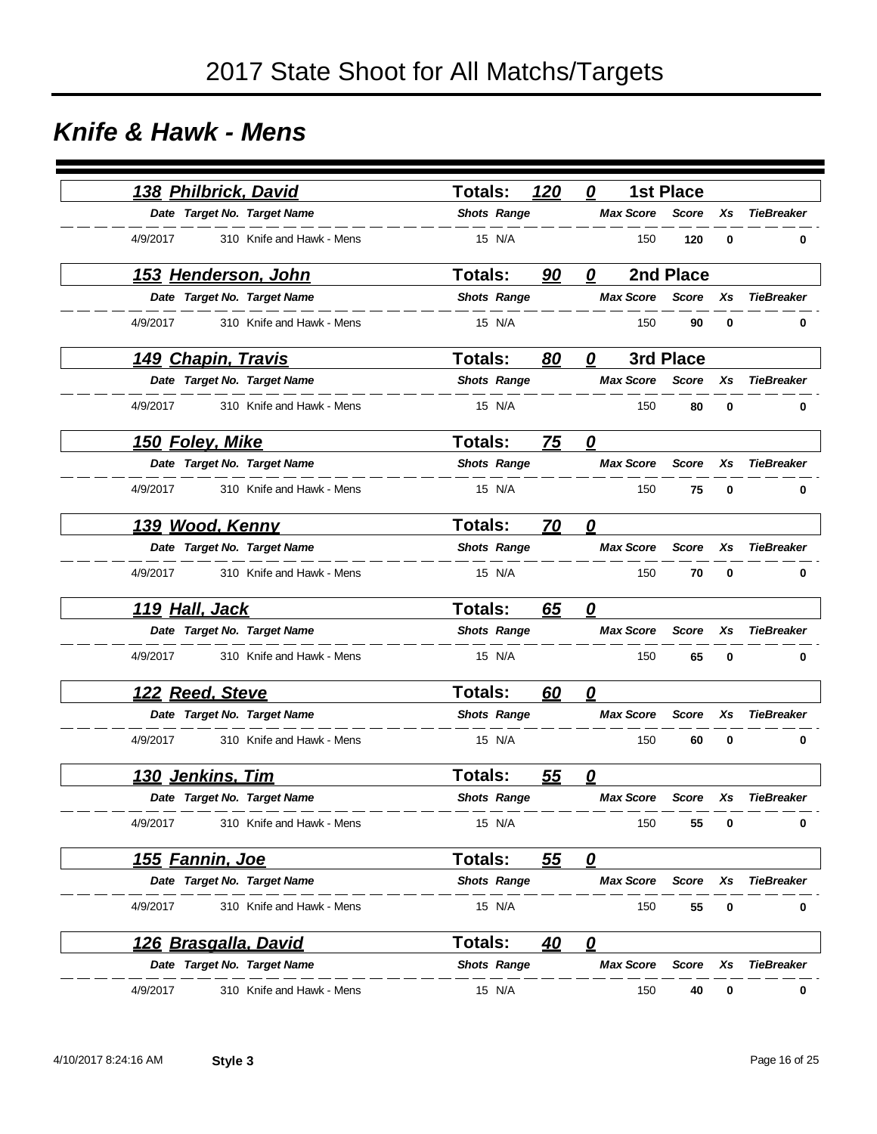#### *Knife & Hawk - Mens*

|                       | 138 Philbrick, David        | <b>Totals:</b>     | 120       | 0                       | <b>1st Place</b> |    |                   |
|-----------------------|-----------------------------|--------------------|-----------|-------------------------|------------------|----|-------------------|
|                       | Date Target No. Target Name | <b>Shots Range</b> |           | <b>Max Score</b>        | <b>Score</b>     | Xs | <b>TieBreaker</b> |
| 4/9/2017              | 310 Knife and Hawk - Mens   | 15 N/A             |           | 150                     | 120              | 0  | 0                 |
|                       | <u>153 Henderson, John</u>  | <b>Totals:</b>     | 90        | 0                       | 2nd Place        |    |                   |
|                       | Date Target No. Target Name | <b>Shots Range</b> |           | <b>Max Score</b>        | Score            | Xs | <b>TieBreaker</b> |
| 4/9/2017              | 310 Knife and Hawk - Mens   | 15 N/A             |           | 150                     | 90               | 0  | $\bf{0}$          |
|                       | <u>149 Chapin, Travis</u>   | Totals:            | 80        | 0                       | 3rd Place        |    |                   |
|                       | Date Target No. Target Name | <b>Shots Range</b> |           | <b>Max Score</b>        | <b>Score</b>     | Xs | <b>TieBreaker</b> |
| 4/9/2017              | 310 Knife and Hawk - Mens   | 15 N/A             |           | 150                     | 80               | 0  | 0                 |
|                       | <u>150 Foley, Mike</u>      | <b>Totals:</b>     | <b>75</b> | $\overline{\mathbf{0}}$ |                  |    |                   |
|                       | Date Target No. Target Name | <b>Shots Range</b> |           | <b>Max Score</b>        | <b>Score</b>     | Xs | <b>TieBreaker</b> |
| 4/9/2017              | 310 Knife and Hawk - Mens   | 15 N/A             |           | 150                     | 75               | 0  | 0                 |
|                       | 139 Wood, Kenny             | <b>Totals:</b>     | 70        | 0                       |                  |    |                   |
|                       | Date Target No. Target Name | <b>Shots Range</b> |           | <b>Max Score</b>        | <b>Score</b>     | Xs | <b>TieBreaker</b> |
| 4/9/2017              | 310 Knife and Hawk - Mens   | 15 N/A             |           | 150                     | 70               | 0  | 0                 |
| <u>119 Hall, Jack</u> |                             | <b>Totals:</b>     | 65        | 0                       |                  |    |                   |
|                       | Date Target No. Target Name | <b>Shots Range</b> |           | <b>Max Score</b>        | <b>Score</b>     | Xs | <b>TieBreaker</b> |
| 4/9/2017              | 310 Knife and Hawk - Mens   | 15 N/A             |           | 150                     | 65               | 0  | 0                 |
|                       | 122 Reed, Steve             | Totals:            | 60        | 0                       |                  |    |                   |
|                       | Date Target No. Target Name | <b>Shots Range</b> |           | <b>Max Score</b>        | <b>Score</b>     | Xs | <b>TieBreaker</b> |
| 4/9/2017              | 310 Knife and Hawk - Mens   | 15 N/A             |           | 150                     | 60               | 0  | 0                 |
|                       | <u>130 Jenkins, Tim</u>     | <b>Totals:</b>     | <u>55</u> | 0                       |                  |    |                   |
|                       | Date Target No. Target Name | <b>Shots Range</b> |           | <b>Max Score</b>        | Score            | Xs | <b>TieBreaker</b> |
| 4/9/2017              | 310 Knife and Hawk - Mens   | 15 N/A             |           | 150                     | 55               | 0  | 0                 |
|                       | <u>155 Fannin, Joe</u>      | Totals:            | <u>55</u> | $\mathbf{\Omega}$       |                  |    |                   |
|                       | Date Target No. Target Name | <b>Shots Range</b> |           | <b>Max Score</b>        | <b>Score</b>     | Xs | <b>TieBreaker</b> |
| 4/9/2017              | 310 Knife and Hawk - Mens   | 15 N/A             |           | 150                     | 55               | 0  | 0                 |
|                       | <u>126 Brasgalla, David</u> | <b>Totals:</b>     | 40        | $\overline{\mathbf{0}}$ |                  |    |                   |
|                       | Date Target No. Target Name | <b>Shots Range</b> |           | <b>Max Score</b>        | Score            | Xs | <b>TieBreaker</b> |
| 4/9/2017              | 310 Knife and Hawk - Mens   | 15 N/A             |           | 150                     | 40               | 0  | 0                 |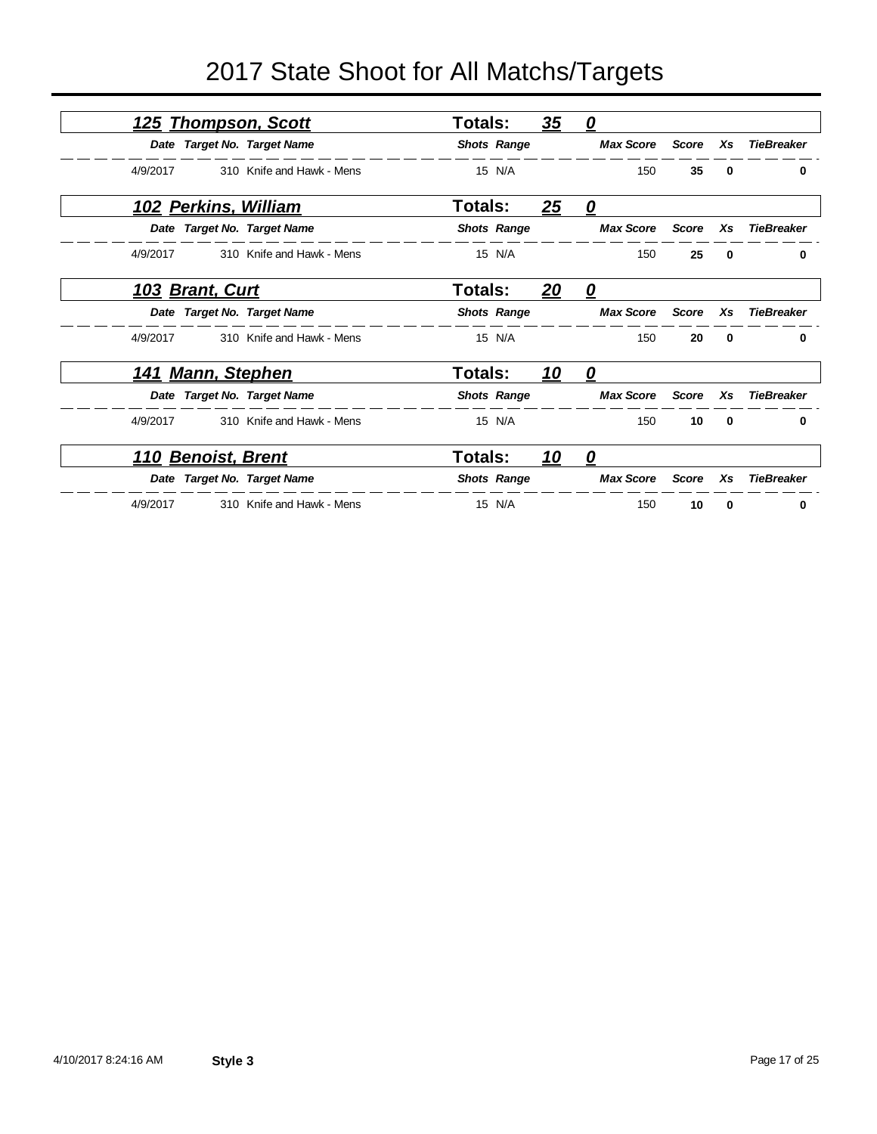|                            | 125 Thompson, Scott         | <b>Totals:</b>     | 35         | $\mathbf{\Omega}$ |              |              |                   |
|----------------------------|-----------------------------|--------------------|------------|-------------------|--------------|--------------|-------------------|
|                            | Date Target No. Target Name | <b>Shots Range</b> |            | <b>Max Score</b>  | <b>Score</b> | Xs           | <b>TieBreaker</b> |
| 4/9/2017                   | 310 Knife and Hawk - Mens   | 15 N/A             |            | 150               | 35           | $\bf{0}$     | 0                 |
| 102 Perkins, William       |                             | <b>Totals:</b>     | 25         | $\mathbf{\Omega}$ |              |              |                   |
|                            | Date Target No. Target Name | <b>Shots Range</b> |            | <b>Max Score</b>  | <b>Score</b> | Xs           | <b>TieBreaker</b> |
| 4/9/2017                   | 310 Knife and Hawk - Mens   | 15 N/A             |            | 150               | 25           | $\bf{0}$     | 0                 |
| 103 Brant, Curt            |                             | <b>Totals:</b>     | <u>20</u>  | $\mathbf{\Omega}$ |              |              |                   |
|                            | Date Target No. Target Name | <b>Shots Range</b> |            | <b>Max Score</b>  | <b>Score</b> | Xs           | <b>TieBreaker</b> |
| 4/9/2017                   | 310 Knife and Hawk - Mens   | 15 N/A             |            | 150               | 20           | $\mathbf{0}$ | 0                 |
| <u>141 Mann, Stephen</u>   |                             | Totals:            | <u> 10</u> | $\mathbf{\Omega}$ |              |              |                   |
|                            | Date Target No. Target Name | <b>Shots Range</b> |            | <b>Max Score</b>  | <b>Score</b> | Xs           | <b>TieBreaker</b> |
| 4/9/2017                   | 310 Knife and Hawk - Mens   | 15 N/A             |            | 150               | 10           | $\bf{0}$     | 0                 |
| <u> 110 Benoist, Brent</u> |                             | Totals:            | <u>10</u>  | 0                 |              |              |                   |
|                            | Date Target No. Target Name | <b>Shots Range</b> |            | <b>Max Score</b>  | <b>Score</b> | Xs           | <b>TieBreaker</b> |
| 4/9/2017                   | 310 Knife and Hawk - Mens   | 15 N/A             |            | 150               | 10           | 0            | 0                 |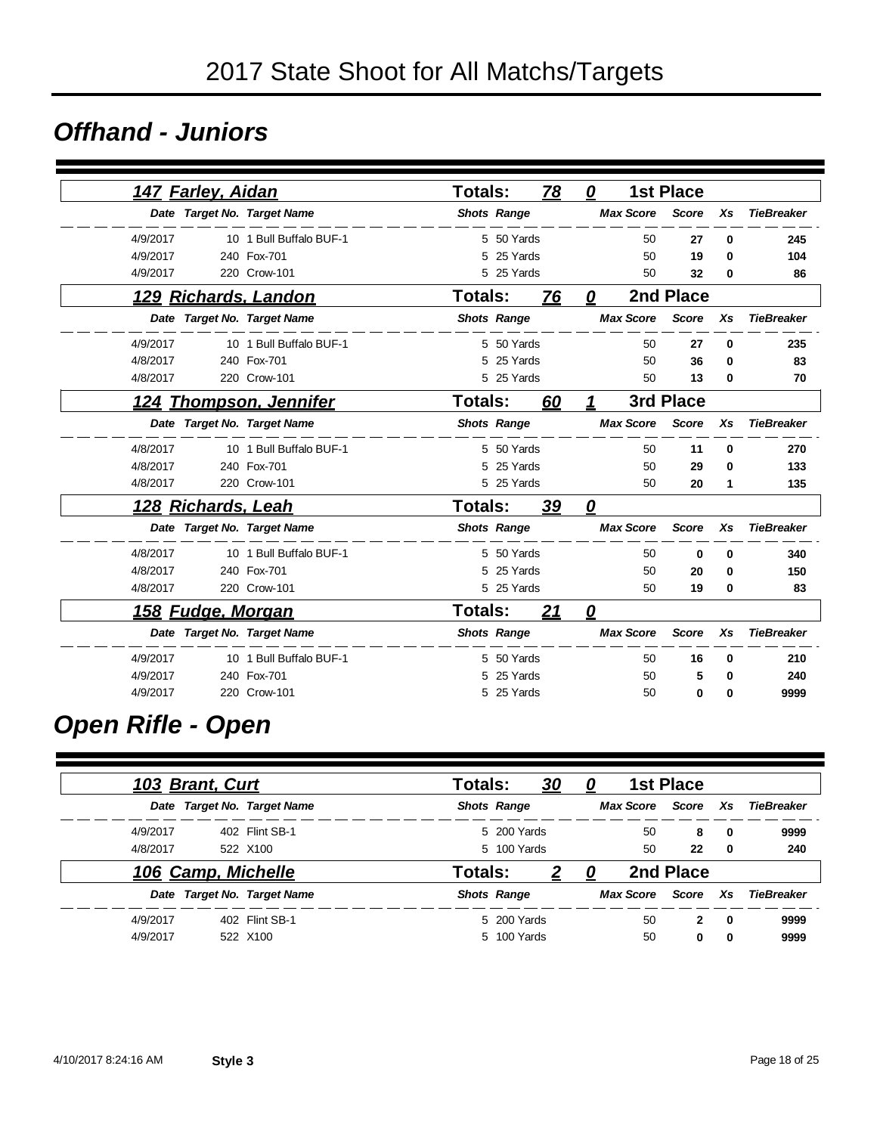#### *Offhand - Juniors*

| <u>147 Farley, Aidan</u>      |                         | Totals:        |                    | 78        | 0           |                  | <b>1st Place</b> |          |                   |
|-------------------------------|-------------------------|----------------|--------------------|-----------|-------------|------------------|------------------|----------|-------------------|
| Date Target No. Target Name   |                         |                | <b>Shots Range</b> |           |             | <b>Max Score</b> | <b>Score</b>     | Xs       | <b>TieBreaker</b> |
| 4/9/2017                      | 10 1 Bull Buffalo BUF-1 |                | 5 50 Yards         |           |             | 50               | 27               | 0        | 245               |
| 4/9/2017                      | 240 Fox-701             | 5              | 25 Yards           |           |             | 50               | 19               | 0        | 104               |
| 4/9/2017                      | 220 Crow-101            |                | 5 25 Yards         |           |             | 50               | 32               | 0        | 86                |
| 129 Richards, Landon          |                         | Totals:        |                    | 76        | 0           |                  | 2nd Place        |          |                   |
| Date Target No. Target Name   |                         |                | <b>Shots Range</b> |           |             | <b>Max Score</b> | <b>Score</b>     | Xs       | <b>TieBreaker</b> |
| 4/9/2017                      | 10 1 Bull Buffalo BUF-1 |                | 5 50 Yards         |           |             | 50               | 27               | 0        | 235               |
| 4/8/2017                      | 240 Fox-701             | 5              | 25 Yards           |           |             | 50               | 36               | 0        | 83                |
| 4/8/2017                      | 220 Crow-101            |                | 5 25 Yards         |           |             | 50               | 13               | 0        | 70                |
| <u>124 Thompson, Jennifer</u> |                         | Totals:        |                    | 60        | $\mathbf 1$ |                  | 3rd Place        |          |                   |
| Date Target No. Target Name   |                         |                | <b>Shots Range</b> |           |             | <b>Max Score</b> | <b>Score</b>     | Xs       | <b>TieBreaker</b> |
| 4/8/2017                      | 10 1 Bull Buffalo BUF-1 |                | 5 50 Yards         |           |             | 50               | 11               | $\bf{0}$ | 270               |
| 4/8/2017                      | 240 Fox-701             | 5              | 25 Yards           |           |             | 50               | 29               | 0        | 133               |
| 4/8/2017                      | 220 Crow-101            |                | 5 25 Yards         |           |             | 50               | 20               | 1        | 135               |
| <u> 128 Richards, Leah</u>    |                         | Totals:        |                    | <u>39</u> | 0           |                  |                  |          |                   |
| Date Target No. Target Name   |                         |                | <b>Shots Range</b> |           |             | <b>Max Score</b> | <b>Score</b>     | Xs       | <b>TieBreaker</b> |
| 4/8/2017                      | 10 1 Bull Buffalo BUF-1 |                | 5 50 Yards         |           |             | 50               | $\bf{0}$         | $\bf{0}$ | 340               |
| 4/8/2017                      | 240 Fox-701             | 5              | 25 Yards           |           |             | 50               | 20               | 0        | 150               |
| 4/8/2017                      | 220 Crow-101            |                | 5 25 Yards         |           |             | 50               | 19               | 0        | 83                |
| <u>158 Fudge, Morgan</u>      |                         | <b>Totals:</b> |                    | 21        | 0           |                  |                  |          |                   |
| Date Target No. Target Name   |                         |                | <b>Shots Range</b> |           |             | <b>Max Score</b> | <b>Score</b>     | Xs       | <b>TieBreaker</b> |
| 4/9/2017                      | 10 1 Bull Buffalo BUF-1 |                | 5 50 Yards         |           |             | 50               | 16               | $\bf{0}$ | 210               |
| 4/9/2017                      | 240 Fox-701             | 5              | 25 Yards           |           |             | 50               | 5                | 0        | 240               |
| 4/9/2017                      | 220 Crow-101            |                | 5 25 Yards         |           |             | 50               | 0                | 0        | 9999              |

### *Open Rifle - Open*

|          | 103 Brant, Curt    |                             | Totals: |                    | <u>30</u> | <u>0</u> |                  | <b>1st Place</b> |             |            |
|----------|--------------------|-----------------------------|---------|--------------------|-----------|----------|------------------|------------------|-------------|------------|
|          |                    | Date Target No. Target Name |         | <b>Shots Range</b> |           |          | <b>Max Score</b> | Score Xs         |             | TieBreaker |
| 4/9/2017 |                    | 402 Flint SB-1              |         | 5 200 Yards        |           |          | 50               | 8                | 0           | 9999       |
| 4/8/2017 |                    | 522 X100                    |         | 5 100 Yards        |           |          | 50               | 22               | 0           | 240        |
|          | 106 Camp, Michelle |                             | Totals: |                    |           |          |                  | 2nd Place        |             |            |
|          |                    | Date Target No. Target Name |         | <b>Shots Range</b> |           |          | <b>Max Score</b> | Score            | <b>Xs</b>   | TieBreaker |
| 4/9/2017 |                    | 402 Flint SB-1              |         | 5 200 Yards        |           |          | 50               | $\mathbf{2}$     | 0           | 9999       |
| 4/9/2017 |                    | 522 X100                    |         | 5 100 Yards        |           |          | 50               | $\bf{0}$         | $\mathbf 0$ | 9999       |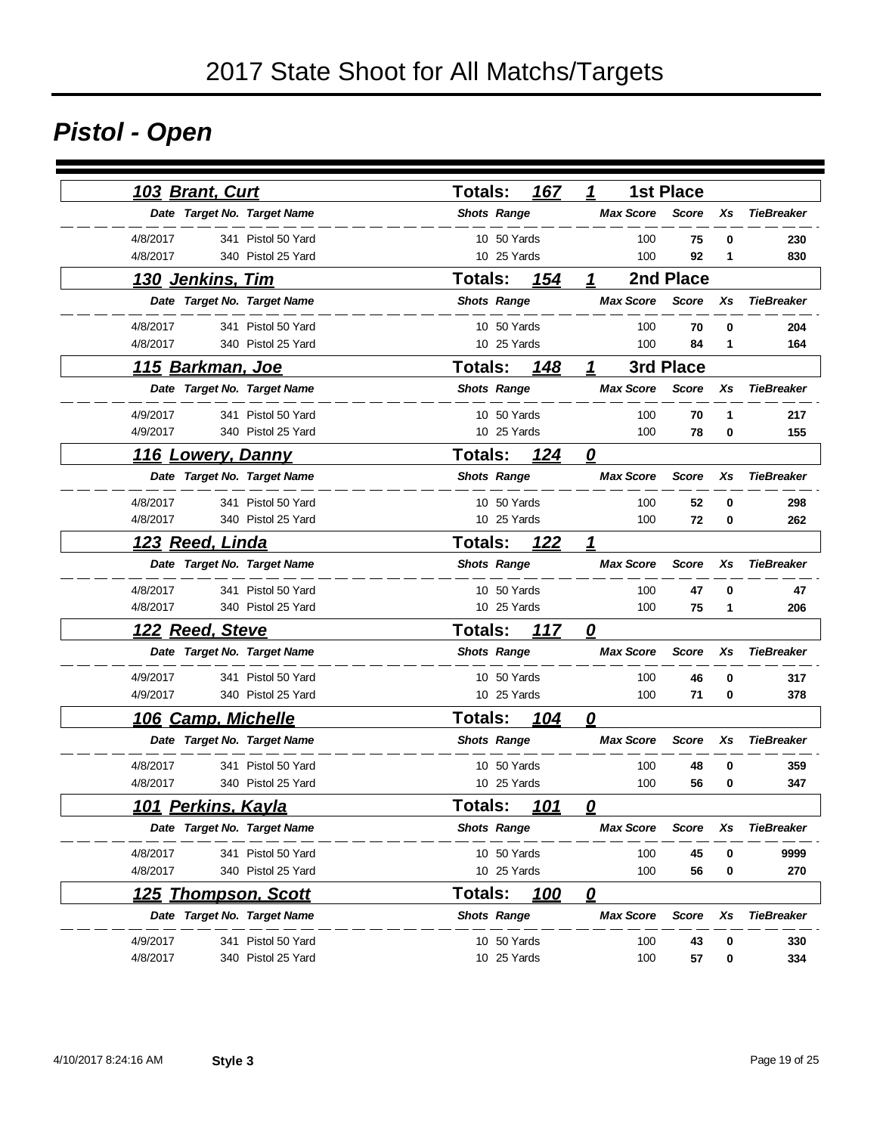## *Pistol - Open*

| <u>103 Brant, Curt</u>         | 167<br>Totals:                | <b>1st Place</b><br>1            |    |                   |
|--------------------------------|-------------------------------|----------------------------------|----|-------------------|
| Date Target No. Target Name    | <b>Shots Range</b>            | <b>Max Score</b><br><b>Score</b> | Xs | <b>TieBreaker</b> |
| 4/8/2017<br>341 Pistol 50 Yard | 10 50 Yards                   | 100<br>75                        | 0  | 230               |
| 4/8/2017<br>340 Pistol 25 Yard | 10 25 Yards                   | 100<br>92                        | 1  | 830               |
| <u>130 Jenkins, Tim</u>        | Totals:<br>154                | 2nd Place<br>1                   |    |                   |
| Date Target No. Target Name    | <b>Shots Range</b>            | <b>Max Score</b><br><b>Score</b> | Xs | <b>TieBreaker</b> |
| 4/8/2017<br>341 Pistol 50 Yard | 10 50 Yards                   | 100<br>70                        | 0  | 204               |
| 4/8/2017<br>340 Pistol 25 Yard | 10 25 Yards                   | 100<br>84                        | 1  | 164               |
| <u>115 Barkman, Joe</u>        | Totals:<br><u>148</u>         | 3rd Place<br>1                   |    |                   |
| Date Target No. Target Name    | <b>Shots Range</b>            | <b>Max Score</b><br><b>Score</b> | Xs | <b>TieBreaker</b> |
| 4/9/2017<br>341 Pistol 50 Yard | 10 50 Yards                   | 100<br>70                        | 1  | 217               |
| 4/9/2017<br>340 Pistol 25 Yard | 10 25 Yards                   | 100<br>78                        | 0  | 155               |
| <u> 116 Lowery, Danny</u>      | <b>Totals:</b><br>124         | $\overline{\mathbf{0}}$          |    |                   |
| Date Target No. Target Name    | <b>Shots Range</b>            | <b>Max Score</b><br><b>Score</b> | Xs | <b>TieBreaker</b> |
| 4/8/2017<br>341 Pistol 50 Yard | 10 50 Yards                   | 52<br>100                        | 0  | 298               |
| 4/8/2017<br>340 Pistol 25 Yard | 10 25 Yards                   | 100<br>72                        | 0  | 262               |
| <u>123 Reed, Linda</u>         | <b>Totals:</b><br>122         | 1                                |    |                   |
| Date Target No. Target Name    | <b>Shots Range</b>            | <b>Max Score</b><br><b>Score</b> | Xs | <b>TieBreaker</b> |
| 4/8/2017<br>341 Pistol 50 Yard | 10 50 Yards                   | 100<br>47                        | 0  | 47                |
| 4/8/2017<br>340 Pistol 25 Yard | 10 25 Yards                   | 100<br>75                        | 1  | 206               |
| <u>122 Reed, Steve</u>         | <b>Totals:</b><br><u>117</u>  | $\overline{\mathbf{0}}$          |    |                   |
| Date Target No. Target Name    | <b>Shots Range</b>            | <b>Max Score</b><br><b>Score</b> | Xs | <b>TieBreaker</b> |
| 4/9/2017<br>341 Pistol 50 Yard | 10 50 Yards                   | 100<br>46                        | 0  | 317               |
| 4/9/2017<br>340 Pistol 25 Yard | 10 25 Yards                   | 100<br>71                        | 0  | 378               |
| <u> 106 Camp, Michelle</u>     | <b>Totals:</b><br>104         | $\boldsymbol{\varrho}$           |    |                   |
| Date Target No. Target Name    | <b>Shots Range</b>            | <b>Max Score</b><br><b>Score</b> | Xs | <b>TieBreaker</b> |
| 4/8/2017<br>341 Pistol 50 Yard | 10 50 Yards                   | 100<br>48                        | 0  | 359               |
| 4/8/2017<br>340 Pistol 25 Yard | 10 25 Yards                   | 100<br>56                        | 0  | 347               |
| 101 Perkins, Kayla             | <b>Totals:</b><br><u> 101</u> | n                                |    |                   |
| Date Target No. Target Name    | <b>Shots Range</b>            | <b>Max Score</b><br><b>Score</b> | Xs | <b>TieBreaker</b> |
| 4/8/2017<br>341 Pistol 50 Yard | 10 50 Yards                   | 100<br>45                        | 0  | 9999              |
| 4/8/2017<br>340 Pistol 25 Yard | 10 25 Yards                   | 100<br>56                        | 0  | 270               |
| 125 Thompson, Scott            | 100<br>Totals:                | $\overline{\mathbf{0}}$          |    |                   |
| Date Target No. Target Name    | <b>Shots Range</b>            | <b>Max Score</b><br><b>Score</b> | Xs | <b>TieBreaker</b> |
| 4/9/2017<br>341 Pistol 50 Yard | 10 50 Yards                   | 100<br>43                        | 0  | 330               |
| 4/8/2017<br>340 Pistol 25 Yard | 10 25 Yards                   | 100<br>57                        | 0  | 334               |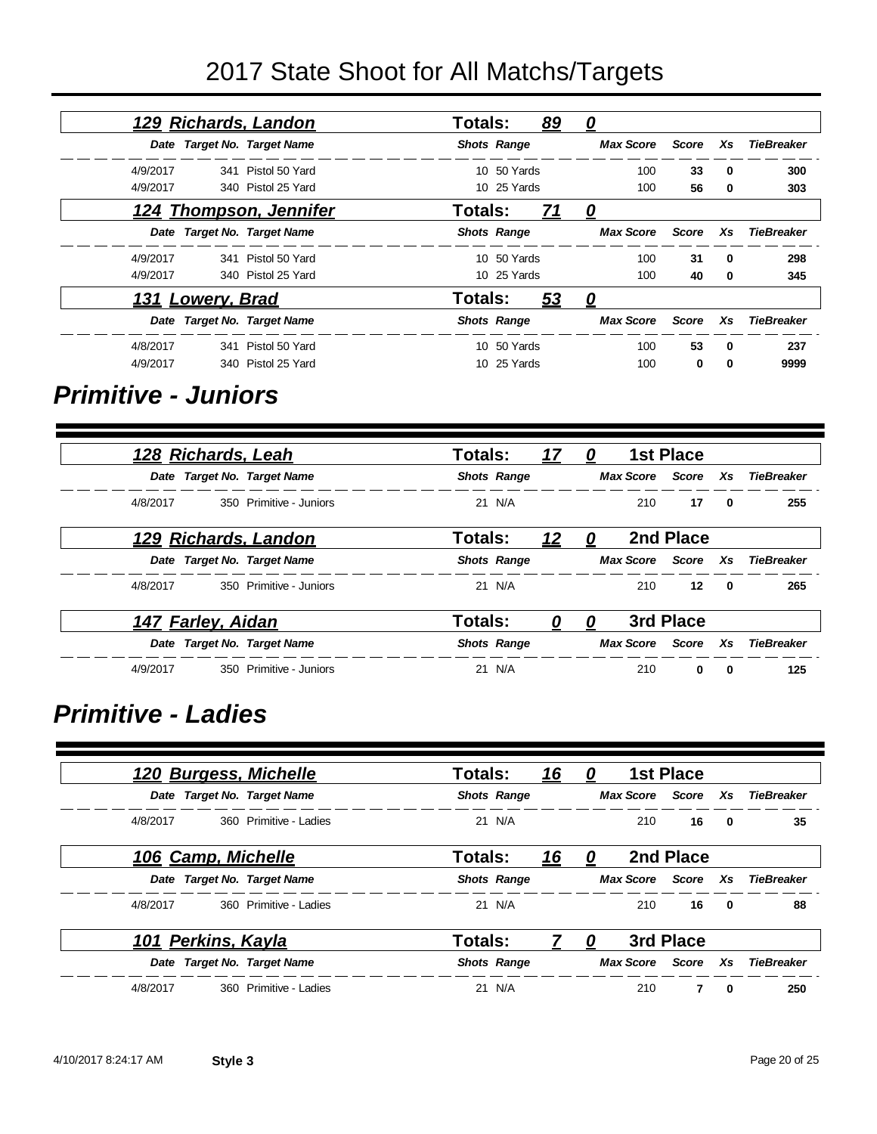| 129 Richards, Landon        |                    | Totals:        |                    | <u>89</u> | <u>0</u>         |              |              |                   |
|-----------------------------|--------------------|----------------|--------------------|-----------|------------------|--------------|--------------|-------------------|
| Date Target No. Target Name |                    |                | <b>Shots Range</b> |           | <b>Max Score</b> | Score        | Xs           | <b>TieBreaker</b> |
| 4/9/2017                    | 341 Pistol 50 Yard |                | 10 50 Yards        |           | 100              | 33           | $\bf{0}$     | 300               |
| 4/9/2017                    | 340 Pistol 25 Yard |                | 10 25 Yards        |           | 100              | 56           | 0            | 303               |
| 124 Thompson, Jennifer      |                    | Totals:        |                    | <u>71</u> | 0                |              |              |                   |
| Date Target No. Target Name |                    |                | <b>Shots Range</b> |           | <b>Max Score</b> | Score        | Xs           | TieBreaker        |
| 4/9/2017                    | 341 Pistol 50 Yard |                | 10 50 Yards        |           | 100              | 31           | $\mathbf{0}$ | 298               |
| 4/9/2017                    | 340 Pistol 25 Yard |                | 10 25 Yards        |           | 100              | 40           | 0            | 345               |
| 131 Lowery, Brad            |                    | <b>Totals:</b> |                    | <u>53</u> | <u>0</u>         |              |              |                   |
| Date Target No. Target Name |                    |                | <b>Shots Range</b> |           | <b>Max Score</b> | <b>Score</b> | Xs           | <b>TieBreaker</b> |
| 4/8/2017                    | 341 Pistol 50 Yard |                | 10 50 Yards        |           | 100              | 53           | $\mathbf 0$  | 237               |
| 4/9/2017                    | 340 Pistol 25 Yard | 10.            | 25 Yards           |           | 100              | $\bf{0}$     | $\mathbf 0$  | 9999              |

#### *Primitive - Juniors*

|          | <u>128 Richards, Leah</u> |                                  | <b>Totals:</b> |                    | 17         | $\bm{Q}$ |                    | <b>1st Place</b> |                         |                               |
|----------|---------------------------|----------------------------------|----------------|--------------------|------------|----------|--------------------|------------------|-------------------------|-------------------------------|
|          |                           | Date Target No. Target Name      |                | <b>Shots Range</b> |            |          |                    |                  |                         | Max Score Score Xs TieBreaker |
|          |                           | 4/8/2017 350 Primitive - Juniors |                | 21 N/A             |            |          | 210                | 17               | $\mathbf{0}$            | 255                           |
|          |                           | 129 Richards, Landon             | <b>Totals:</b> |                    | <u> 12</u> | 0        |                    | 2nd Place        |                         |                               |
|          |                           | Date Target No. Target Name      |                | <b>Shots Range</b> |            |          | Max Score Score Xs |                  |                         | <b>TieBreaker</b>             |
| 4/8/2017 |                           | 350 Primitive - Juniors          |                | 21 N/A             |            |          | 210                | 12 <sup>12</sup> | $\overline{\mathbf{0}}$ | 265                           |
|          | 147 Farley, Aidan         |                                  | <b>Totals:</b> |                    | <u>0</u>   | U        |                    | 3rd Place        |                         |                               |
|          |                           | Date Target No. Target Name      |                | <b>Shots Range</b> |            |          |                    |                  |                         | Max Score Score Xs TieBreaker |
| 4/9/2017 |                           | 350 Primitive - Juniors          |                | 21 N/A             |            |          | 210                | 0                | $\mathbf{0}$            | 125                           |

#### *Primitive - Ladies*

| <u>120 Burgess, Michelle</u> |                        | Totals:            | <u> 16</u> | 0 |                  | <b>1st Place</b> |              |                   |
|------------------------------|------------------------|--------------------|------------|---|------------------|------------------|--------------|-------------------|
| Date Target No. Target Name  |                        | <b>Shots Range</b> |            |   | <b>Max Score</b> | Score Xs         |              | <b>TieBreaker</b> |
| 4/8/2017                     | 360 Primitive - Ladies | 21 N/A             |            |   | 210              | 16               | $\mathbf{0}$ | 35                |
| <u>106 Camp, Michelle</u>    |                        | Totals:            | <u> 16</u> | 0 |                  | 2nd Place        |              |                   |
| Date Target No. Target Name  |                        | <b>Shots Range</b> |            |   | <b>Max Score</b> | Score            | Xs           | TieBreaker        |
| 4/8/2017                     | 360 Primitive - Ladies | 21 N/A             |            |   | 210              | 16               | 0            | 88                |
| 101 Perkins, Kayla           |                        | Totals:            |            | 0 |                  | 3rd Place        |              |                   |
| Date Target No. Target Name  |                        | <b>Shots Range</b> |            |   | <b>Max Score</b> | Score Xs         |              | TieBreaker        |
| 4/8/2017                     | 360 Primitive - Ladies | 21 N/A             |            |   | 210              | $\overline{7}$   | 0            | 250               |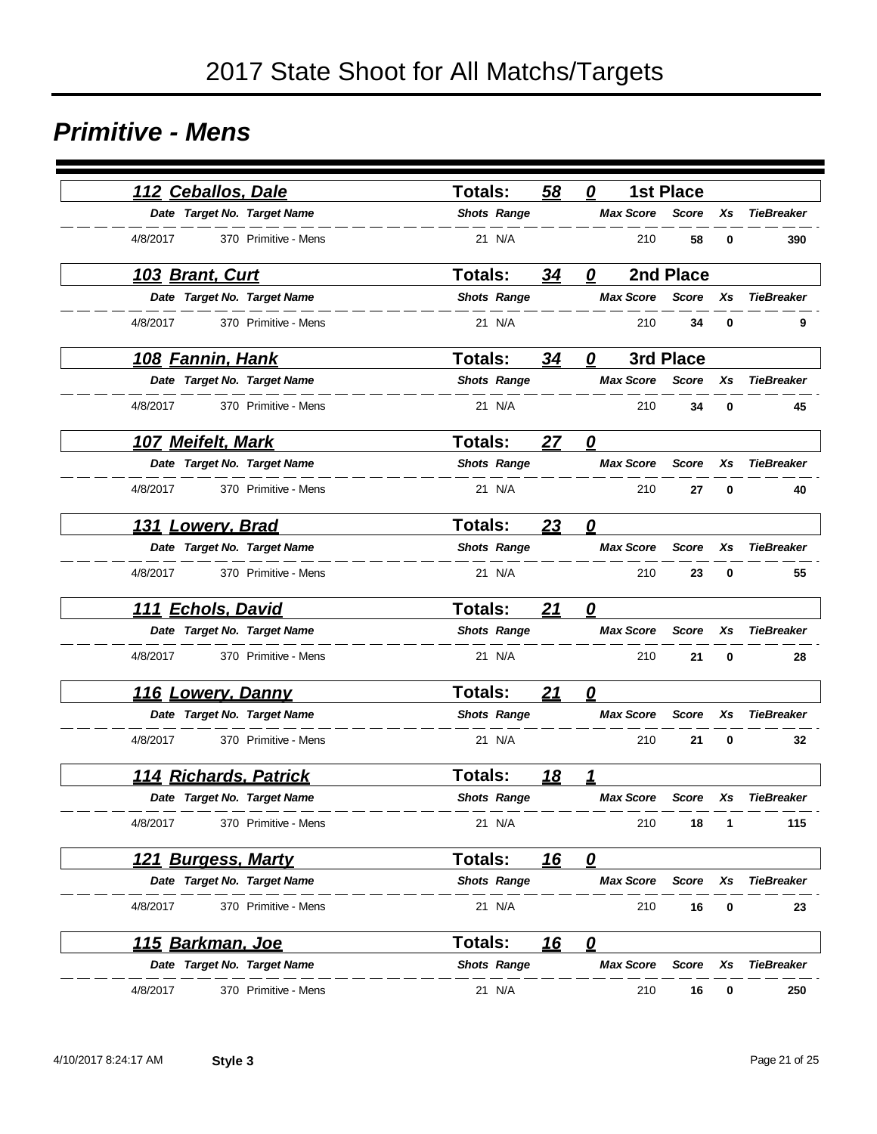#### *Primitive - Mens*

| 112 Ceballos, Dale               | <b>Totals:</b><br>58  | 0                       | <b>1st Place</b> |                         |
|----------------------------------|-----------------------|-------------------------|------------------|-------------------------|
| Date Target No. Target Name      | <b>Shots Range</b>    | <b>Max Score</b>        | <b>Score</b>     | <b>TieBreaker</b><br>Xs |
| 4/8/2017<br>370 Primitive - Mens | 21 N/A                | 210                     | 58               | 0<br>390                |
| <u> 103 Brant, Curt</u>          | 34<br><b>Totals:</b>  | 0                       | 2nd Place        |                         |
| Date Target No. Target Name      | <b>Shots Range</b>    | <b>Max Score</b>        | <b>Score</b>     | <b>TieBreaker</b><br>Xs |
| 4/8/2017<br>370 Primitive - Mens | 21 N/A                | 210                     | 34               | 0<br>9                  |
| <u>108 Fannin, Hank</u>          | Totals:<br>34         | $\boldsymbol{o}$        | 3rd Place        |                         |
| Date Target No. Target Name      | <b>Shots Range</b>    | <b>Max Score</b>        | <b>Score</b>     | <b>TieBreaker</b><br>Xs |
| 4/8/2017<br>370 Primitive - Mens | 21 N/A                | 210                     | 34               | 0<br>45                 |
| 107 Meifelt, Mark                | <b>Totals:</b><br>27  | $\mathbf{Q}$            |                  |                         |
| Date Target No. Target Name      | <b>Shots Range</b>    | <b>Max Score</b>        | <b>Score</b>     | Xs<br><b>TieBreaker</b> |
| 4/8/2017<br>370 Primitive - Mens | 21 N/A                | 210                     | 27               | 0<br>40                 |
| 131 Lowery, Brad                 | 23<br><b>Totals:</b>  | 0                       |                  |                         |
| Date Target No. Target Name      | <b>Shots Range</b>    | <b>Max Score</b>        | <b>Score</b>     | Xs<br><b>TieBreaker</b> |
| 4/8/2017<br>370 Primitive - Mens | 21 N/A                | 210                     | 23               | 0<br>55                 |
| 111 Echols, David                | <b>Totals:</b><br>21  | 0                       |                  |                         |
| Date Target No. Target Name      | <b>Shots Range</b>    | <b>Max Score</b>        | <b>Score</b>     | Xs<br><b>TieBreaker</b> |
| 4/8/2017<br>370 Primitive - Mens | 21 N/A                | 210                     | 21               | 0<br>28                 |
| <u>116 Lowery, Danny</u>         | Totals:<br>21         | 0                       |                  |                         |
| Date Target No. Target Name      | <b>Shots Range</b>    | <b>Max Score</b>        | <b>Score</b>     | <b>TieBreaker</b><br>Xs |
| 4/8/2017<br>370 Primitive - Mens | 21 N/A                | 210                     | 21               | 0<br>32                 |
| <u>114 Richards, Patrick</u>     | Totals:<br><u>18</u>  | 1                       |                  |                         |
| Date Target No. Target Name      | <b>Shots Range</b>    | <b>Max Score</b>        | <b>Score</b>     | <b>TieBreaker</b><br>Xs |
| 4/8/2017<br>370 Primitive - Mens | 21 N/A                | 210                     | 18               | 115<br>1                |
| 121 Burgess, Marty               | Totals:<br><u> 16</u> | $\boldsymbol{\varrho}$  |                  |                         |
| Date Target No. Target Name      | <b>Shots Range</b>    | <b>Max Score</b>        | Score            | <b>TieBreaker</b><br>Xs |
| 4/8/2017<br>370 Primitive - Mens | 21 N/A                | 210                     | 16               | 0<br>23                 |
| <u>115 Barkman, Joe</u>          | <u> 16</u><br>Totals: | $\overline{\mathbf{0}}$ |                  |                         |
| Date Target No. Target Name      | <b>Shots Range</b>    | <b>Max Score</b>        | Score            | <b>TieBreaker</b><br>Xs |
| 4/8/2017<br>370 Primitive - Mens | 21 N/A                | 210                     | 16               | 250<br>0                |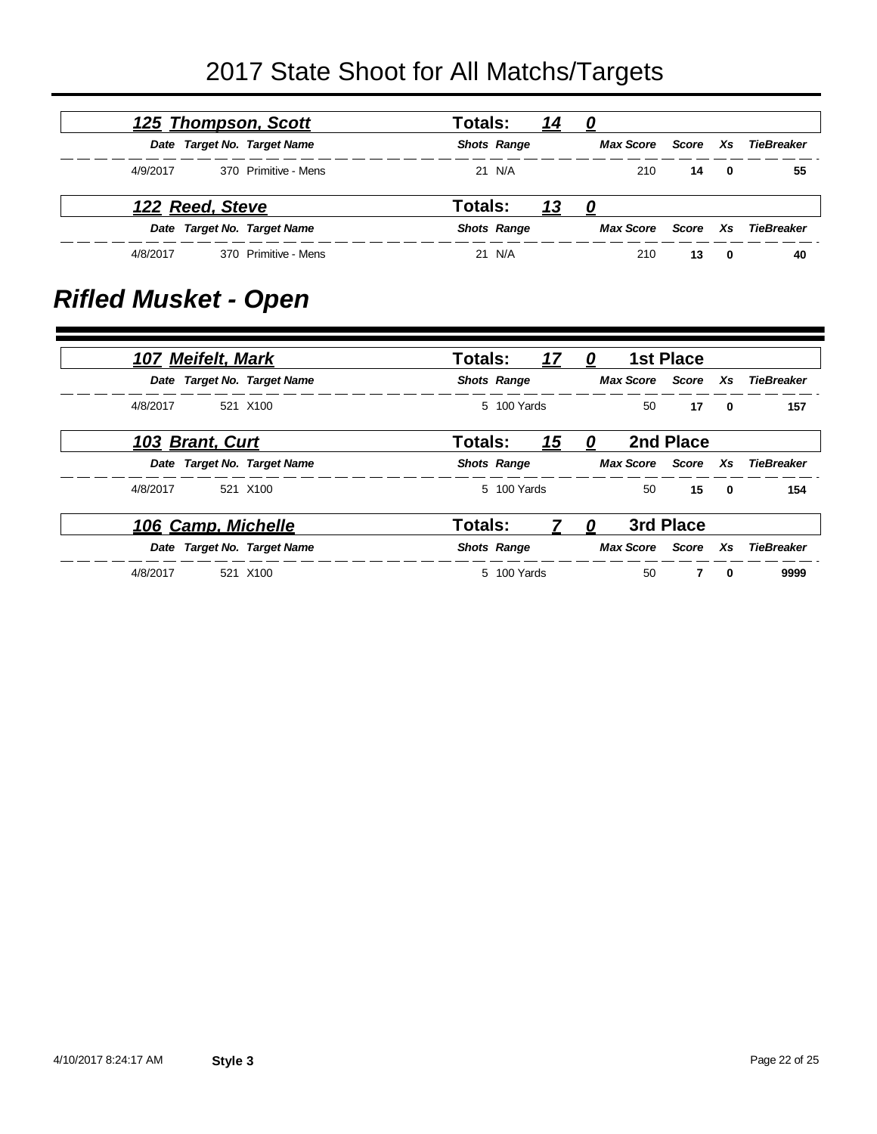|          |                 | <u>125 Thompson, Scott</u>  | Totals: |                    | <u> 14</u> | 0         |       |                         |            |
|----------|-----------------|-----------------------------|---------|--------------------|------------|-----------|-------|-------------------------|------------|
|          |                 | Date Target No. Target Name |         | <b>Shots Range</b> |            | Max Score | Score | Xs                      | TieBreaker |
| 4/9/2017 |                 | 370 Primitive - Mens        |         | 21 N/A             |            | 210       | 14    | $\overline{\mathbf{0}}$ | 55         |
|          | 122 Reed, Steve |                             | Totals: |                    | <u> 13</u> | 0         |       |                         |            |
|          |                 | Date Target No. Target Name |         | <b>Shots Range</b> |            | Max Score | Score | <b>Xs</b>               | TieBreaker |
| 4/8/2017 |                 | 370 Primitive - Mens        |         | 21 N/A             |            | 210       | 13    | 0                       | 40         |

## *Rifled Musket - Open*

|          | <b>107 Meifelt, Mark</b> |                             | <b>Totals:</b>     |             | <u>17</u>  | - 0              |           | 1st Place          |                         |                   |
|----------|--------------------------|-----------------------------|--------------------|-------------|------------|------------------|-----------|--------------------|-------------------------|-------------------|
|          |                          | Date Target No. Target Name | <b>Shots Range</b> |             |            |                  |           | Max Score Score Xs |                         | TieBreaker        |
| 4/8/2017 |                          | 521 X100                    |                    | 5 100 Yards |            |                  |           | 50<br>17           | $\mathbf{0}$            | 157               |
|          | 103 Brant, Curt          |                             | Totals:            |             | <u> 15</u> | $\boldsymbol{0}$ |           | 2nd Place          |                         |                   |
|          |                          | Date Target No. Target Name | <b>Shots Range</b> |             |            |                  |           | Max Score Score Xs |                         | TieBreaker        |
| 4/8/2017 |                          | 521 X100                    |                    | 5 100 Yards |            |                  | 50        | 15                 | $\overline{\mathbf{0}}$ | 154               |
|          | 106 Camp, Michelle       |                             | <b>Totals:</b>     |             |            | 0                |           | 3rd Place          |                         |                   |
|          |                          | Date Target No. Target Name | <b>Shots Range</b> |             |            |                  | Max Score | Score Xs           |                         | <b>TieBreaker</b> |
| 4/8/2017 |                          | 521 X100                    |                    | 5 100 Yards |            |                  | 50        | 7                  | $\mathbf{0}$            | 9999              |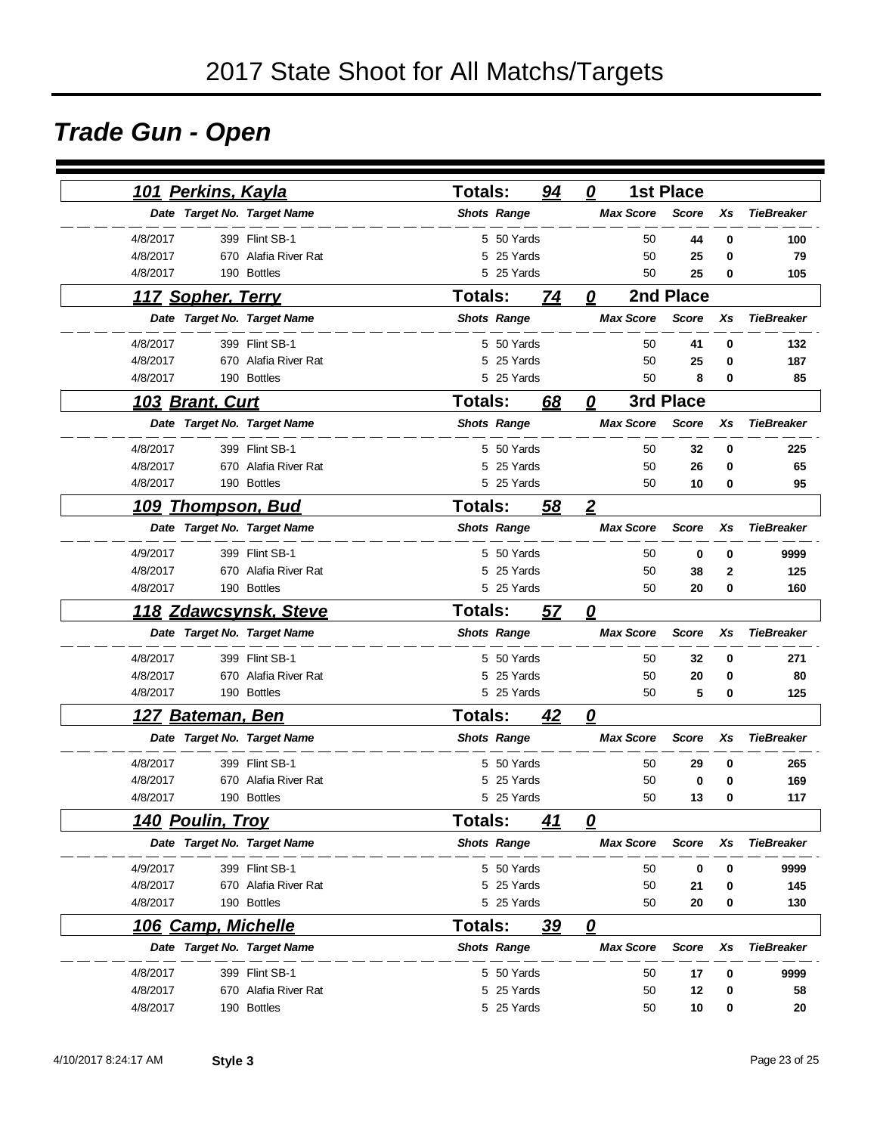## *Trade Gun - Open*

|             | <u>101 Perkins, Kayla</u> |                             | <b>Totals:</b>     |                    | 94 | 0                       |                  | <b>1st Place</b> |    |                   |
|-------------|---------------------------|-----------------------------|--------------------|--------------------|----|-------------------------|------------------|------------------|----|-------------------|
|             |                           | Date Target No. Target Name | <b>Shots Range</b> |                    |    |                         | <b>Max Score</b> | <b>Score</b>     | Xs | <b>TieBreaker</b> |
| 4/8/2017    |                           | 399 Flint SB-1              |                    | 5 50 Yards         |    |                         | 50               | 44               | 0  | 100               |
| 4/8/2017    |                           | 670 Alafia River Rat        | 5                  | 25 Yards           |    |                         | 50               | 25               | 0  | 79                |
| 4/8/2017    |                           | 190 Bottles                 | 5                  | 25 Yards           |    |                         | 50               | 25               | 0  | 105               |
|             | 117 Sopher, Terry         |                             | <b>Totals:</b>     |                    | 74 | 0                       |                  | 2nd Place        |    |                   |
|             |                           | Date Target No. Target Name |                    | <b>Shots Range</b> |    |                         | <b>Max Score</b> | <b>Score</b>     | Xs | <b>TieBreaker</b> |
| 4/8/2017    |                           | 399 Flint SB-1              |                    | 5 50 Yards         |    |                         | 50               | 41               | 0  | 132               |
| 4/8/2017    |                           | 670 Alafia River Rat        | 5                  | 25 Yards           |    |                         | 50               | 25               | 0  | 187               |
| 4/8/2017    |                           | 190 Bottles                 |                    | 5 25 Yards         |    |                         | 50               | 8                | 0  | 85                |
|             | 103 Brant, Curt           |                             | <b>Totals:</b>     |                    | 68 | 0                       |                  | 3rd Place        |    |                   |
|             |                           | Date Target No. Target Name |                    | <b>Shots Range</b> |    |                         | <b>Max Score</b> | <b>Score</b>     | Xs | <b>TieBreaker</b> |
| 4/8/2017    |                           | 399 Flint SB-1              |                    | 5 50 Yards         |    |                         | 50               | 32               | 0  | 225               |
| 4/8/2017    |                           | 670 Alafia River Rat        | 5                  | 25 Yards           |    |                         | 50               | 26               | 0  | 65                |
| 4/8/2017    |                           | 190 Bottles                 |                    | 5 25 Yards         |    |                         | 50               | 10               | 0  | 95                |
| <u> 109</u> |                           | <u>Thompson, Bud</u>        | <b>Totals:</b>     |                    | 58 | $\overline{2}$          |                  |                  |    |                   |
|             |                           | Date Target No. Target Name |                    | <b>Shots Range</b> |    |                         | <b>Max Score</b> | <b>Score</b>     | Xs | <b>TieBreaker</b> |
| 4/9/2017    |                           | 399 Flint SB-1              |                    | 5 50 Yards         |    |                         | 50               | 0                | 0  | 9999              |
| 4/8/2017    |                           | 670 Alafia River Rat        |                    | 5 25 Yards         |    |                         | 50               | 38               | 2  | 125               |
| 4/8/2017    |                           | 190 Bottles                 |                    | 5 25 Yards         |    |                         | 50               | 20               | 0  | 160               |
| <u> 118</u> |                           | <b>Zdawcsynsk, Steve</b>    | Totals:            |                    | 57 | $\overline{\mathbf{0}}$ |                  |                  |    |                   |
|             |                           | Date Target No. Target Name |                    | <b>Shots Range</b> |    |                         | <b>Max Score</b> | <b>Score</b>     | Xs | <b>TieBreaker</b> |
| 4/8/2017    |                           | 399 Flint SB-1              |                    | 5 50 Yards         |    |                         | 50               | 32               | 0  | 271               |
| 4/8/2017    |                           | 670 Alafia River Rat        |                    | 5 25 Yards         |    |                         | 50               | 20               | 0  | 80                |
| 4/8/2017    |                           | 190 Bottles                 |                    | 5 25 Yards         |    |                         | 50               | 5                | 0  | 125               |
|             | <u>127 Bateman, Ben</u>   |                             | Totals:            |                    | 42 | 0                       |                  |                  |    |                   |
|             |                           | Date Target No. Target Name |                    | <b>Shots Range</b> |    |                         | <b>Max Score</b> | <b>Score</b>     | Xs | <b>TieBreaker</b> |
| 4/8/2017    |                           | 399 Flint SB-1              |                    | 5 50 Yards         |    |                         | 50               | 29               | 0  | 265               |
| 4/8/2017    |                           | 670 Alafia River Rat        | 5                  | 25 Yards           |    |                         | 50               | 0                | 0  | 169               |
| 4/8/2017    |                           | 190 Bottles                 |                    | 5 25 Yards         |    |                         | 50               | 13               | 0  | 117               |
|             | <u>140 Poulin, Trov</u>   |                             | Totals:            |                    | 41 | 0                       |                  |                  |    |                   |
|             |                           | Date Target No. Target Name |                    | <b>Shots Range</b> |    |                         | <b>Max Score</b> | <b>Score</b>     | Xs | <b>TieBreaker</b> |
| 4/9/2017    |                           | 399 Flint SB-1              |                    | 5 50 Yards         |    |                         | 50               | 0                | 0  | 9999              |
| 4/8/2017    |                           | 670 Alafia River Rat        |                    | 5 25 Yards         |    |                         | 50               | 21               | 0  | 145               |
| 4/8/2017    |                           | 190 Bottles                 |                    | 5 25 Yards         |    |                         | 50               | 20               | 0  | 130               |
|             | 106 Camp, Michelle        |                             | <b>Totals:</b>     |                    | 39 | 0                       |                  |                  |    |                   |
|             |                           | Date Target No. Target Name |                    | <b>Shots Range</b> |    |                         | <b>Max Score</b> | <b>Score</b>     | Xs | <b>TieBreaker</b> |
| 4/8/2017    |                           | 399 Flint SB-1              |                    | 5 50 Yards         |    |                         | 50               | 17               | 0  | 9999              |
| 4/8/2017    |                           | 670 Alafia River Rat        |                    | 5 25 Yards         |    |                         | 50               | 12               | 0  | 58                |
| 4/8/2017    |                           | 190 Bottles                 |                    | 5 25 Yards         |    |                         | 50               | 10               | 0  | 20                |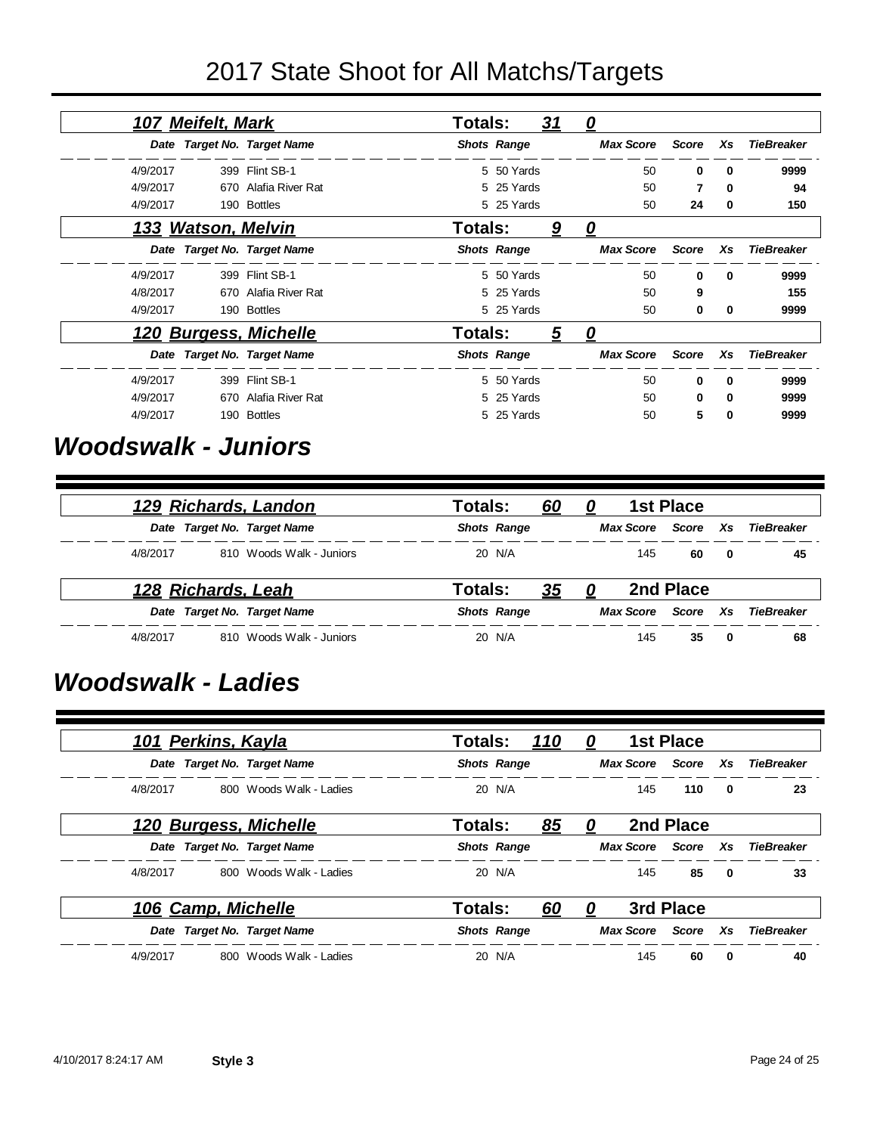|          | 107 Meifelt, Mark         |                             | Totals: |                    | <u>31</u> | <u>0</u>         |              |          |                   |
|----------|---------------------------|-----------------------------|---------|--------------------|-----------|------------------|--------------|----------|-------------------|
|          |                           | Date Target No. Target Name |         | <b>Shots Range</b> |           | <b>Max Score</b> | <b>Score</b> | Xs       | <b>TieBreaker</b> |
| 4/9/2017 |                           | 399 Flint SB-1              |         | 5 50 Yards         |           | 50               | 0            | $\Omega$ | 9999              |
| 4/9/2017 |                           | 670 Alafia River Rat        |         | 5 25 Yards         |           | 50               | 7            | 0        | 94                |
| 4/9/2017 |                           | 190 Bottles                 |         | 5 25 Yards         |           | 50               | 24           | 0        | 150               |
|          | <u>133 Watson, Melvin</u> |                             | Totals: |                    | <u>9</u>  | 0                |              |          |                   |
|          |                           | Date Target No. Target Name |         | <b>Shots Range</b> |           | <b>Max Score</b> | <b>Score</b> | Xs       | <b>TieBreaker</b> |
| 4/9/2017 | 399                       | Flint SB-1                  |         | 5 50 Yards         |           | 50               | 0            | 0        | 9999              |
| 4/8/2017 |                           | 670 Alafia River Rat        |         | 5 25 Yards         |           | 50               | 9            |          | 155               |
| 4/9/2017 |                           | 190 Bottles                 |         | 5 25 Yards         |           | 50               | 0            | 0        | 9999              |
|          |                           | 120 Burgess, Michelle       | Totals: |                    | 5         | 0                |              |          |                   |
|          |                           | Date Target No. Target Name |         | <b>Shots Range</b> |           | <b>Max Score</b> | <b>Score</b> | Xs       | <b>TieBreaker</b> |
| 4/9/2017 |                           | 399 Flint SB-1              |         | 5 50 Yards         |           | 50               | 0            | $\Omega$ | 9999              |
| 4/9/2017 | 670                       | Alafia River Rat            |         | 5 25 Yards         |           | 50               | 0            | 0        | 9999              |
| 4/9/2017 |                           | 190 Bottles                 |         | 5 25 Yards         |           | 50               | 5            | 0        | 9999              |

#### *Woodswalk - Juniors*

|          | 129 Richards, Landon        | Totals:<br><u>60</u> | 0                  | <b>1st Place</b> |     |                   |
|----------|-----------------------------|----------------------|--------------------|------------------|-----|-------------------|
|          | Date Target No. Target Name | <b>Shots Range</b>   | Max Score Score Xs |                  |     | TieBreaker        |
| 4/8/2017 | 810 Woods Walk - Juniors    | 20 N/A               | 145                | 60               | 0   | 45                |
|          | 128 Richards, Leah          | Totals:<br><u>35</u> | 0                  | 2nd Place        |     |                   |
|          | Date Target No. Target Name | <b>Shots Range</b>   | <b>Max Score</b>   | Score            | Xs. | <b>TieBreaker</b> |
| 4/8/2017 | 810 Woods Walk - Juniors    | 20 N/A               | 145                | 35               | 0   | 68                |

#### *Woodswalk - Ladies*

| <u>101 Perkins, Kayla</u>     |                         | Totals:<br><u>110</u> |    | 0 |           | 1st Place          |                         |                   |
|-------------------------------|-------------------------|-----------------------|----|---|-----------|--------------------|-------------------------|-------------------|
| Date Target No. Target Name   |                         | <b>Shots Range</b>    |    |   | Max Score | Score Xs           |                         | <b>TieBreaker</b> |
| 4/8/2017                      | 800 Woods Walk - Ladies | 20 N/A                |    |   | 145       | 110                | - 0                     | 23                |
| <u> 120 Burgess, Michelle</u> |                         | Totals:               | 85 | 0 |           | 2nd Place          |                         |                   |
| Date Target No. Target Name   |                         | <b>Shots Range</b>    |    |   |           | Max Score Score Xs |                         | <b>TieBreaker</b> |
| 4/8/2017                      | 800 Woods Walk - Ladies | 20 N/A                |    |   | 145       | 85                 | $\overline{\mathbf{0}}$ | 33                |
| 106 Camp, Michelle            |                         | 60<br><b>Totals:</b>  |    | 0 |           | 3rd Place          |                         |                   |
| Date Target No. Target Name   |                         | <b>Shots Range</b>    |    |   | Max Score | Score              | Xs                      | <b>TieBreaker</b> |
| 4/9/2017                      | 800 Woods Walk - Ladies | 20 N/A                |    |   | 145       | 60                 | $\bf{0}$                | 40                |